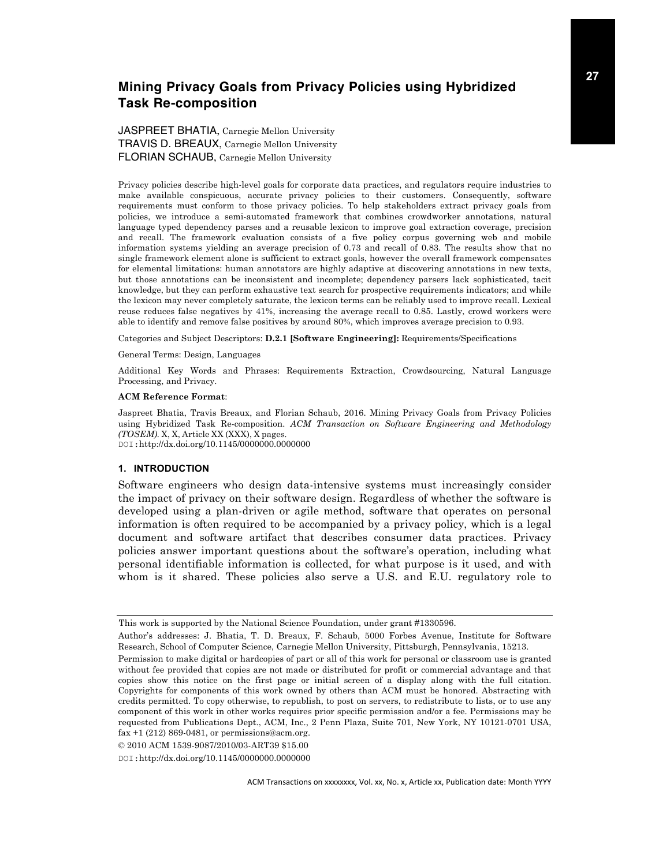JASPREET BHATIA, Carnegie Mellon University TRAVIS D. BREAUX, Carnegie Mellon University FLORIAN SCHAUB, Carnegie Mellon University

Privacy policies describe high-level goals for corporate data practices, and regulators require industries to make available conspicuous, accurate privacy policies to their customers. Consequently, software requirements must conform to those privacy policies. To help stakeholders extract privacy goals from policies, we introduce a semi-automated framework that combines crowdworker annotations, natural language typed dependency parses and a reusable lexicon to improve goal extraction coverage, precision and recall. The framework evaluation consists of a five policy corpus governing web and mobile information systems yielding an average precision of 0.73 and recall of 0.83. The results show that no single framework element alone is sufficient to extract goals, however the overall framework compensates for elemental limitations: human annotators are highly adaptive at discovering annotations in new texts, but those annotations can be inconsistent and incomplete; dependency parsers lack sophisticated, tacit knowledge, but they can perform exhaustive text search for prospective requirements indicators; and while the lexicon may never completely saturate, the lexicon terms can be reliably used to improve recall. Lexical reuse reduces false negatives by 41%, increasing the average recall to 0.85. Lastly, crowd workers were able to identify and remove false positives by around 80%, which improves average precision to 0.93.

Categories and Subject Descriptors: **D.2.1 [Software Engineering]:** Requirements/Specifications

General Terms: Design, Languages

Additional Key Words and Phrases: Requirements Extraction, Crowdsourcing, Natural Language Processing, and Privacy.

### **ACM Reference Format**:

Jaspreet Bhatia, Travis Breaux, and Florian Schaub, 2016. Mining Privacy Goals from Privacy Policies using Hybridized Task Re-composition. *ACM Transaction on Software Engineering and Methodology (TOSEM).* X, X, Article XX (XXX), X pages*.* DOI:http://dx.doi.org/10.1145/0000000.0000000

# **1. INTRODUCTION**

Software engineers who design data-intensive systems must increasingly consider the impact of privacy on their software design. Regardless of whether the software is developed using a plan-driven or agile method, software that operates on personal information is often required to be accompanied by a privacy policy, which is a legal document and software artifact that describes consumer data practices. Privacy policies answer important questions about the software's operation, including what personal identifiable information is collected, for what purpose is it used, and with whom is it shared. These policies also serve a U.S. and E.U. regulatory role to

© 2010 ACM 1539-9087/2010/03-ART39 \$15.00

DOI:http://dx.doi.org/10.1145/0000000.0000000

ACM Transactions on xxxxxxx, Vol. xx, No. x, Article xx, Publication date: Month YYYY

This work is supported by the National Science Foundation, under grant #1330596.

Author's addresses: J. Bhatia, T. D. Breaux, F. Schaub, 5000 Forbes Avenue, Institute for Software Research, School of Computer Science, Carnegie Mellon University, Pittsburgh, Pennsylvania, 15213.

Permission to make digital or hardcopies of part or all of this work for personal or classroom use is granted without fee provided that copies are not made or distributed for profit or commercial advantage and that copies show this notice on the first page or initial screen of a display along with the full citation. Copyrights for components of this work owned by others than ACM must be honored. Abstracting with credits permitted. To copy otherwise, to republish, to post on servers, to redistribute to lists, or to use any component of this work in other works requires prior specific permission and/or a fee. Permissions may be requested from Publications Dept., ACM, Inc., 2 Penn Plaza, Suite 701, New York, NY 10121-0701 USA, fax +1 (212) 869-0481, or permissions@acm.org.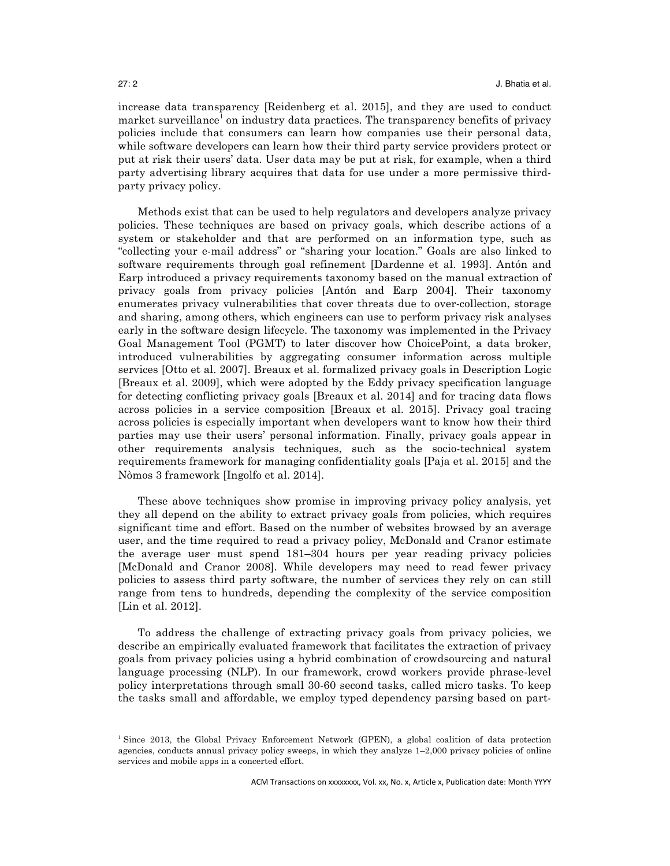increase data transparency [Reidenberg et al. 2015], and they are used to conduct market surveillance<sup>1</sup> on industry data practices. The transparency benefits of privacy policies include that consumers can learn how companies use their personal data, while software developers can learn how their third party service providers protect or put at risk their users' data. User data may be put at risk, for example, when a third party advertising library acquires that data for use under a more permissive thirdparty privacy policy.

Methods exist that can be used to help regulators and developers analyze privacy policies. These techniques are based on privacy goals, which describe actions of a system or stakeholder and that are performed on an information type, such as "collecting your e-mail address" or "sharing your location." Goals are also linked to software requirements through goal refinement [Dardenne et al. 1993]. Antón and Earp introduced a privacy requirements taxonomy based on the manual extraction of privacy goals from privacy policies [Antón and Earp 2004]. Their taxonomy enumerates privacy vulnerabilities that cover threats due to over-collection, storage and sharing, among others, which engineers can use to perform privacy risk analyses early in the software design lifecycle. The taxonomy was implemented in the Privacy Goal Management Tool (PGMT) to later discover how ChoicePoint, a data broker, introduced vulnerabilities by aggregating consumer information across multiple services [Otto et al. 2007]. Breaux et al. formalized privacy goals in Description Logic [Breaux et al. 2009], which were adopted by the Eddy privacy specification language for detecting conflicting privacy goals [Breaux et al. 2014] and for tracing data flows across policies in a service composition [Breaux et al. 2015]. Privacy goal tracing across policies is especially important when developers want to know how their third parties may use their users' personal information. Finally, privacy goals appear in other requirements analysis techniques, such as the socio-technical system requirements framework for managing confidentiality goals [Paja et al. 2015] and the Nòmos 3 framework [Ingolfo et al. 2014].

These above techniques show promise in improving privacy policy analysis, yet they all depend on the ability to extract privacy goals from policies, which requires significant time and effort. Based on the number of websites browsed by an average user, and the time required to read a privacy policy, McDonald and Cranor estimate the average user must spend 181–304 hours per year reading privacy policies [McDonald and Cranor 2008]. While developers may need to read fewer privacy policies to assess third party software, the number of services they rely on can still range from tens to hundreds, depending the complexity of the service composition [Lin et al. 2012].

To address the challenge of extracting privacy goals from privacy policies, we describe an empirically evaluated framework that facilitates the extraction of privacy goals from privacy policies using a hybrid combination of crowdsourcing and natural language processing (NLP). In our framework, crowd workers provide phrase-level policy interpretations through small 30-60 second tasks, called micro tasks. To keep the tasks small and affordable, we employ typed dependency parsing based on part-

<sup>&</sup>lt;sup>1</sup> Since 2013, the Global Privacy Enforcement Network (GPEN), a global coalition of data protection agencies, conducts annual privacy policy sweeps, in which they analyze 1–2,000 privacy policies of online services and mobile apps in a concerted effort.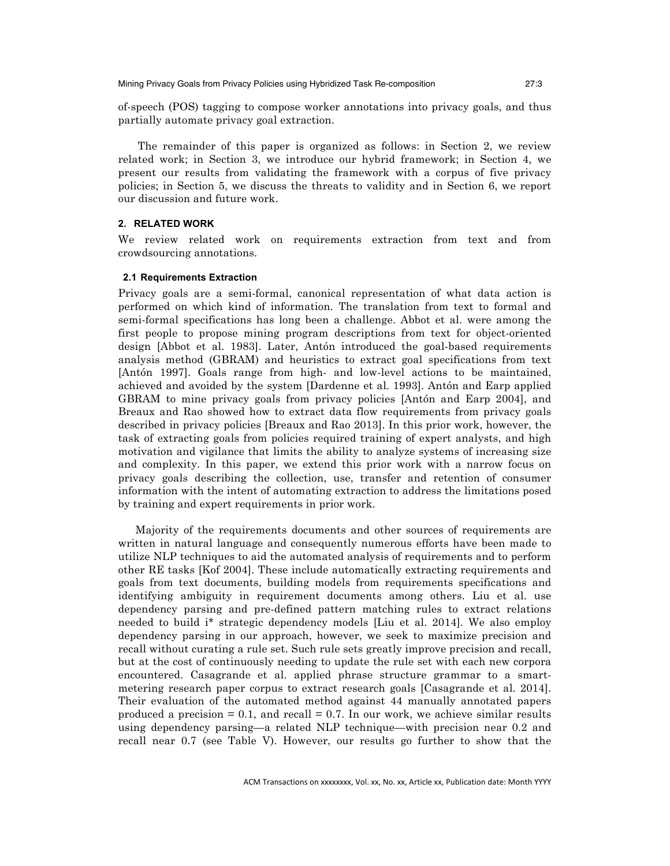of-speech (POS) tagging to compose worker annotations into privacy goals, and thus partially automate privacy goal extraction.

The remainder of this paper is organized as follows: in Section 2, we review related work; in Section 3, we introduce our hybrid framework; in Section 4, we present our results from validating the framework with a corpus of five privacy policies; in Section 5, we discuss the threats to validity and in Section 6, we report our discussion and future work.

# **2. RELATED WORK**

We review related work on requirements extraction from text and from crowdsourcing annotations.

### **2.1 Requirements Extraction**

Privacy goals are a semi-formal, canonical representation of what data action is performed on which kind of information. The translation from text to formal and semi-formal specifications has long been a challenge. Abbot et al. were among the first people to propose mining program descriptions from text for object-oriented design [Abbot et al. 1983]. Later, Antón introduced the goal-based requirements analysis method (GBRAM) and heuristics to extract goal specifications from text [Antón 1997]. Goals range from high- and low-level actions to be maintained, achieved and avoided by the system [Dardenne et al. 1993]. Antón and Earp applied GBRAM to mine privacy goals from privacy policies [Antón and Earp 2004], and Breaux and Rao showed how to extract data flow requirements from privacy goals described in privacy policies [Breaux and Rao 2013]. In this prior work, however, the task of extracting goals from policies required training of expert analysts, and high motivation and vigilance that limits the ability to analyze systems of increasing size and complexity. In this paper, we extend this prior work with a narrow focus on privacy goals describing the collection, use, transfer and retention of consumer information with the intent of automating extraction to address the limitations posed by training and expert requirements in prior work.

Majority of the requirements documents and other sources of requirements are written in natural language and consequently numerous efforts have been made to utilize NLP techniques to aid the automated analysis of requirements and to perform other RE tasks [Kof 2004]. These include automatically extracting requirements and goals from text documents, building models from requirements specifications and identifying ambiguity in requirement documents among others. Liu et al. use dependency parsing and pre-defined pattern matching rules to extract relations needed to build i\* strategic dependency models [Liu et al. 2014]. We also employ dependency parsing in our approach, however, we seek to maximize precision and recall without curating a rule set. Such rule sets greatly improve precision and recall, but at the cost of continuously needing to update the rule set with each new corpora encountered. Casagrande et al. applied phrase structure grammar to a smartmetering research paper corpus to extract research goals [Casagrande et al. 2014]. Their evaluation of the automated method against 44 manually annotated papers produced a precision  $= 0.1$ , and recall  $= 0.7$ . In our work, we achieve similar results using dependency parsing—a related NLP technique—with precision near 0.2 and recall near 0.7 (see Table V). However, our results go further to show that the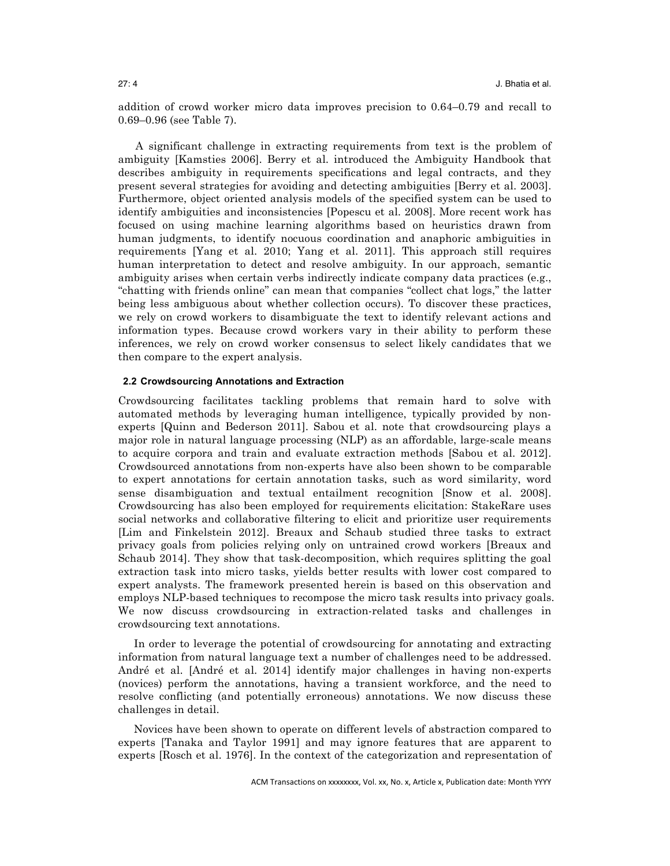addition of crowd worker micro data improves precision to 0.64–0.79 and recall to 0.69–0.96 (see Table 7).

A significant challenge in extracting requirements from text is the problem of ambiguity [Kamsties 2006]. Berry et al. introduced the Ambiguity Handbook that describes ambiguity in requirements specifications and legal contracts, and they present several strategies for avoiding and detecting ambiguities [Berry et al. 2003]. Furthermore, object oriented analysis models of the specified system can be used to identify ambiguities and inconsistencies [Popescu et al. 2008]. More recent work has focused on using machine learning algorithms based on heuristics drawn from human judgments, to identify nocuous coordination and anaphoric ambiguities in requirements [Yang et al. 2010; Yang et al. 2011]. This approach still requires human interpretation to detect and resolve ambiguity. In our approach, semantic ambiguity arises when certain verbs indirectly indicate company data practices (e.g., "chatting with friends online" can mean that companies "collect chat logs," the latter being less ambiguous about whether collection occurs). To discover these practices, we rely on crowd workers to disambiguate the text to identify relevant actions and information types. Because crowd workers vary in their ability to perform these inferences, we rely on crowd worker consensus to select likely candidates that we then compare to the expert analysis.

# **2.2 Crowdsourcing Annotations and Extraction**

Crowdsourcing facilitates tackling problems that remain hard to solve with automated methods by leveraging human intelligence, typically provided by nonexperts [Quinn and Bederson 2011]. Sabou et al. note that crowdsourcing plays a major role in natural language processing (NLP) as an affordable, large-scale means to acquire corpora and train and evaluate extraction methods [Sabou et al. 2012]. Crowdsourced annotations from non-experts have also been shown to be comparable to expert annotations for certain annotation tasks, such as word similarity, word sense disambiguation and textual entailment recognition [Snow et al. 2008]. Crowdsourcing has also been employed for requirements elicitation: StakeRare uses social networks and collaborative filtering to elicit and prioritize user requirements [Lim and Finkelstein 2012]. Breaux and Schaub studied three tasks to extract privacy goals from policies relying only on untrained crowd workers [Breaux and Schaub 2014]. They show that task-decomposition, which requires splitting the goal extraction task into micro tasks, yields better results with lower cost compared to expert analysts. The framework presented herein is based on this observation and employs NLP-based techniques to recompose the micro task results into privacy goals. We now discuss crowdsourcing in extraction-related tasks and challenges in crowdsourcing text annotations.

In order to leverage the potential of crowdsourcing for annotating and extracting information from natural language text a number of challenges need to be addressed. André et al. [André et al. 2014] identify major challenges in having non-experts (novices) perform the annotations, having a transient workforce, and the need to resolve conflicting (and potentially erroneous) annotations. We now discuss these challenges in detail.

Novices have been shown to operate on different levels of abstraction compared to experts [Tanaka and Taylor 1991] and may ignore features that are apparent to experts [Rosch et al. 1976]. In the context of the categorization and representation of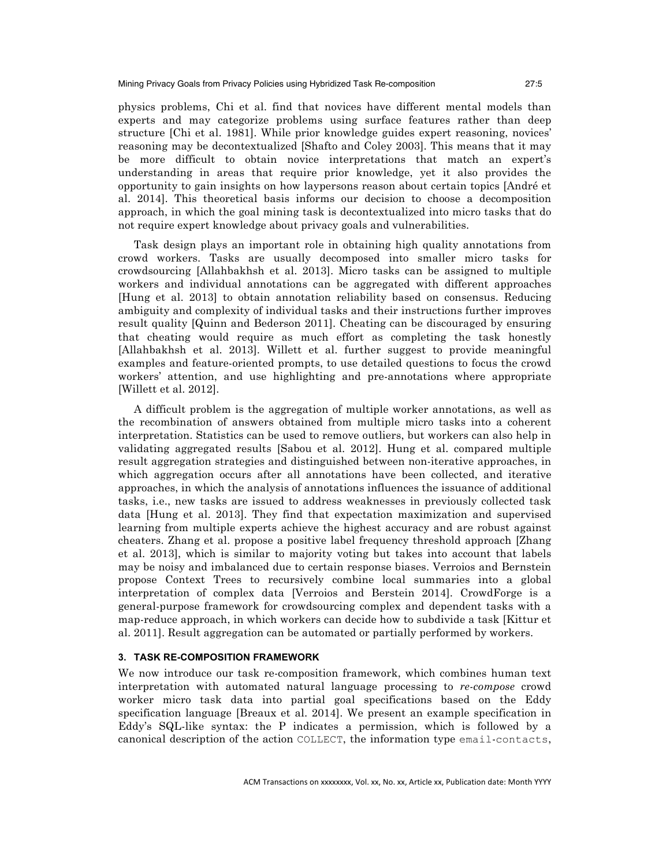physics problems, Chi et al. find that novices have different mental models than experts and may categorize problems using surface features rather than deep structure [Chi et al. 1981]. While prior knowledge guides expert reasoning, novices' reasoning may be decontextualized [Shafto and Coley 2003]. This means that it may be more difficult to obtain novice interpretations that match an expert's understanding in areas that require prior knowledge, yet it also provides the opportunity to gain insights on how laypersons reason about certain topics [André et al. 2014]. This theoretical basis informs our decision to choose a decomposition approach, in which the goal mining task is decontextualized into micro tasks that do not require expert knowledge about privacy goals and vulnerabilities.

Task design plays an important role in obtaining high quality annotations from crowd workers. Tasks are usually decomposed into smaller micro tasks for crowdsourcing [Allahbakhsh et al. 2013]. Micro tasks can be assigned to multiple workers and individual annotations can be aggregated with different approaches [Hung et al. 2013] to obtain annotation reliability based on consensus. Reducing ambiguity and complexity of individual tasks and their instructions further improves result quality [Quinn and Bederson 2011]. Cheating can be discouraged by ensuring that cheating would require as much effort as completing the task honestly [Allahbakhsh et al. 2013]. Willett et al. further suggest to provide meaningful examples and feature-oriented prompts, to use detailed questions to focus the crowd workers' attention, and use highlighting and pre-annotations where appropriate [Willett et al. 2012].

A difficult problem is the aggregation of multiple worker annotations, as well as the recombination of answers obtained from multiple micro tasks into a coherent interpretation. Statistics can be used to remove outliers, but workers can also help in validating aggregated results [Sabou et al. 2012]. Hung et al. compared multiple result aggregation strategies and distinguished between non-iterative approaches, in which aggregation occurs after all annotations have been collected, and iterative approaches, in which the analysis of annotations influences the issuance of additional tasks, i.e., new tasks are issued to address weaknesses in previously collected task data [Hung et al. 2013]. They find that expectation maximization and supervised learning from multiple experts achieve the highest accuracy and are robust against cheaters. Zhang et al. propose a positive label frequency threshold approach [Zhang et al. 2013], which is similar to majority voting but takes into account that labels may be noisy and imbalanced due to certain response biases. Verroios and Bernstein propose Context Trees to recursively combine local summaries into a global interpretation of complex data [Verroios and Berstein 2014]. CrowdForge is a general-purpose framework for crowdsourcing complex and dependent tasks with a map-reduce approach, in which workers can decide how to subdivide a task [Kittur et al. 2011]. Result aggregation can be automated or partially performed by workers.

# **3. TASK RE-COMPOSITION FRAMEWORK**

We now introduce our task re-composition framework, which combines human text interpretation with automated natural language processing to *re-compose* crowd worker micro task data into partial goal specifications based on the Eddy specification language [Breaux et al. 2014]. We present an example specification in Eddy's SQL-like syntax: the P indicates a permission, which is followed by a canonical description of the action COLLECT, the information type email-contacts,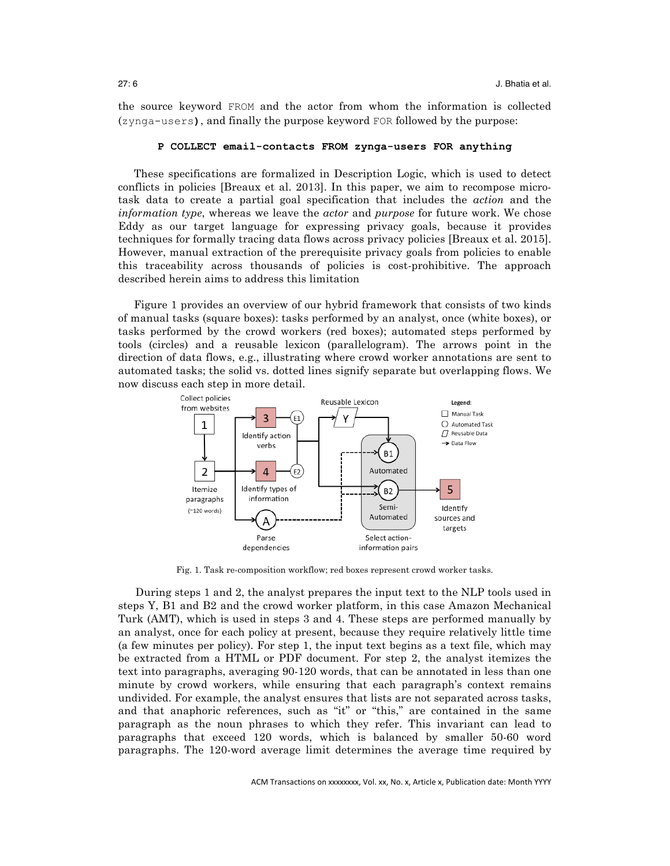the source keyword FROM and the actor from whom the information is collected (zynga-users**)**, and finally the purpose keyword FOR followed by the purpose:

### **P COLLECT email-contacts FROM zynga-users FOR anything**

These specifications are formalized in Description Logic, which is used to detect conflicts in policies [Breaux et al. 2013]. In this paper, we aim to recompose microtask data to create a partial goal specification that includes the *action* and the *information type*, whereas we leave the *actor* and *purpose* for future work. We chose Eddy as our target language for expressing privacy goals, because it provides techniques for formally tracing data flows across privacy policies [Breaux et al. 2015]. However, manual extraction of the prerequisite privacy goals from policies to enable this traceability across thousands of policies is cost-prohibitive. The approach described herein aims to address this limitation

Figure 1 provides an overview of our hybrid framework that consists of two kinds of manual tasks (square boxes): tasks performed by an analyst, once (white boxes), or tasks performed by the crowd workers (red boxes); automated steps performed by tools (circles) and a reusable lexicon (parallelogram). The arrows point in the direction of data flows, e.g., illustrating where crowd worker annotations are sent to automated tasks; the solid vs. dotted lines signify separate but overlapping flows. We now discuss each step in more detail.



Fig. 1. Task re-composition workflow; red boxes represent crowd worker tasks.

During steps 1 and 2, the analyst prepares the input text to the NLP tools used in steps Y, B1 and B2 and the crowd worker platform, in this case Amazon Mechanical Turk (AMT), which is used in steps 3 and 4. These steps are performed manually by an analyst, once for each policy at present, because they require relatively little time (a few minutes per policy). For step 1, the input text begins as a text file, which may be extracted from a HTML or PDF document. For step 2, the analyst itemizes the text into paragraphs, averaging 90-120 words, that can be annotated in less than one minute by crowd workers, while ensuring that each paragraph's context remains undivided. For example, the analyst ensures that lists are not separated across tasks, and that anaphoric references, such as "it" or "this," are contained in the same paragraph as the noun phrases to which they refer. This invariant can lead to paragraphs that exceed 120 words, which is balanced by smaller 50-60 word paragraphs. The 120-word average limit determines the average time required by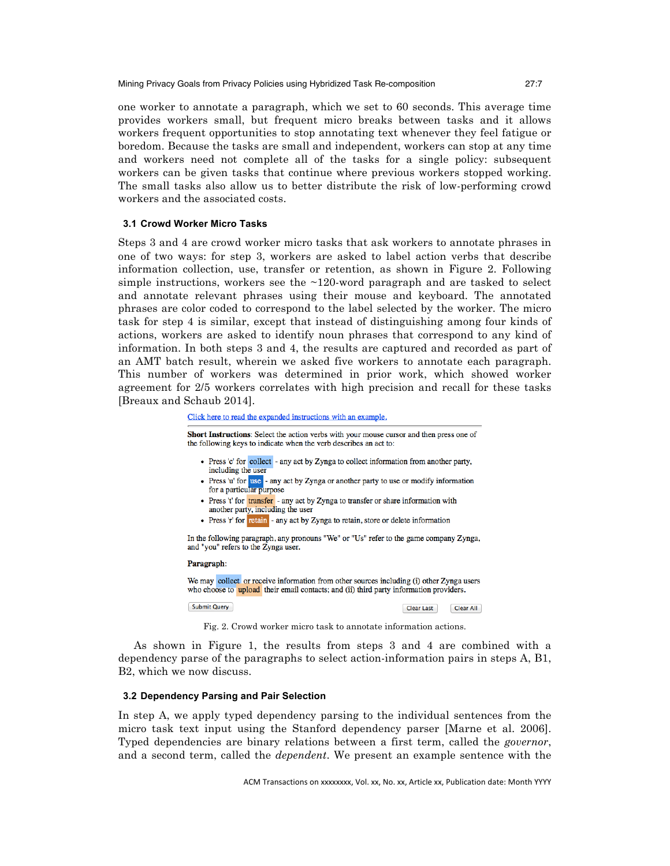one worker to annotate a paragraph, which we set to 60 seconds. This average time provides workers small, but frequent micro breaks between tasks and it allows workers frequent opportunities to stop annotating text whenever they feel fatigue or boredom. Because the tasks are small and independent, workers can stop at any time and workers need not complete all of the tasks for a single policy: subsequent workers can be given tasks that continue where previous workers stopped working. The small tasks also allow us to better distribute the risk of low-performing crowd workers and the associated costs.

# **3.1 Crowd Worker Micro Tasks**

Steps 3 and 4 are crowd worker micro tasks that ask workers to annotate phrases in one of two ways: for step 3, workers are asked to label action verbs that describe information collection, use, transfer or retention, as shown in Figure 2. Following simple instructions, workers see the  $\sim$ 120-word paragraph and are tasked to select and annotate relevant phrases using their mouse and keyboard. The annotated phrases are color coded to correspond to the label selected by the worker. The micro task for step 4 is similar, except that instead of distinguishing among four kinds of actions, workers are asked to identify noun phrases that correspond to any kind of information. In both steps 3 and 4, the results are captured and recorded as part of an AMT batch result, wherein we asked five workers to annotate each paragraph. This number of workers was determined in prior work, which showed worker agreement for 2/5 workers correlates with high precision and recall for these tasks [Breaux and Schaub 2014].

Click here to read the expanded instructions with an example.

Short Instructions: Select the action verbs with your mouse cursor and then press one of the following keys to indicate when the verb describes an act to:

- Press 'c' for collect any act by Zynga to collect information from another party, including the user
- Press 'u' for use any act by Zynga or another party to use or modify information for a particular purpose
- Press 't' for transfer any act by Zynga to transfer or share information with another party, including the user
- Press 'r' for retain any act by Zynga to retain, store or delete information

In the following paragraph, any pronouns "We" or "Us" refer to the game company Zynga, and "you" refers to the Zynga user.

### Paragraph:

We may collect or receive information from other sources including (i) other Zynga users who choose to upload their email contacts; and (ii) third party information providers.

**Submit Query** 

```
Clear Last
 Clear All
```
Fig. 2. Crowd worker micro task to annotate information actions.

As shown in Figure 1, the results from steps 3 and 4 are combined with a dependency parse of the paragraphs to select action-information pairs in steps A, B1, B2, which we now discuss.

### **3.2 Dependency Parsing and Pair Selection**

In step A, we apply typed dependency parsing to the individual sentences from the micro task text input using the Stanford dependency parser [Marne et al. 2006]. Typed dependencies are binary relations between a first term, called the *governor*, and a second term, called the *dependent*. We present an example sentence with the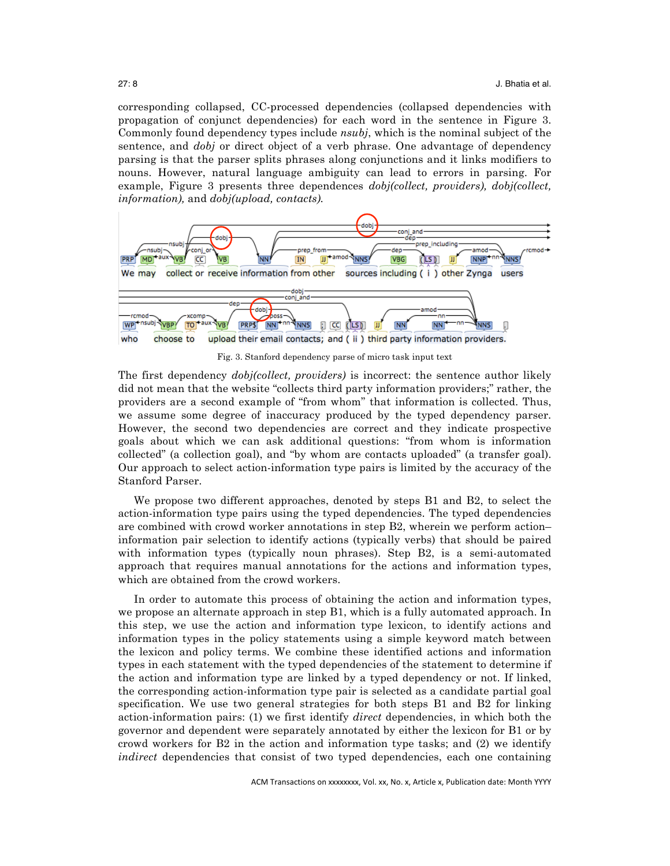corresponding collapsed, CC-processed dependencies (collapsed dependencies with propagation of conjunct dependencies) for each word in the sentence in Figure 3. Commonly found dependency types include *nsubj*, which is the nominal subject of the sentence, and *dobj* or direct object of a verb phrase. One advantage of dependency parsing is that the parser splits phrases along conjunctions and it links modifiers to nouns. However, natural language ambiguity can lead to errors in parsing. For example, Figure 3 presents three dependences *dobj(collect, providers), dobj(collect, information),* and *dobj(upload, contacts).*



Fig. 3. Stanford dependency parse of micro task input text

The first dependency *dobj(collect, providers)* is incorrect: the sentence author likely did not mean that the website "collects third party information providers;" rather, the providers are a second example of "from whom" that information is collected. Thus, we assume some degree of inaccuracy produced by the typed dependency parser. However, the second two dependencies are correct and they indicate prospective goals about which we can ask additional questions: "from whom is information collected" (a collection goal), and "by whom are contacts uploaded" (a transfer goal). Our approach to select action-information type pairs is limited by the accuracy of the Stanford Parser.

We propose two different approaches, denoted by steps B1 and B2, to select the action-information type pairs using the typed dependencies. The typed dependencies are combined with crowd worker annotations in step B2, wherein we perform action– information pair selection to identify actions (typically verbs) that should be paired with information types (typically noun phrases). Step B2, is a semi-automated approach that requires manual annotations for the actions and information types, which are obtained from the crowd workers.

In order to automate this process of obtaining the action and information types, we propose an alternate approach in step B1, which is a fully automated approach. In this step, we use the action and information type lexicon, to identify actions and information types in the policy statements using a simple keyword match between the lexicon and policy terms. We combine these identified actions and information types in each statement with the typed dependencies of the statement to determine if the action and information type are linked by a typed dependency or not. If linked, the corresponding action-information type pair is selected as a candidate partial goal specification. We use two general strategies for both steps B1 and B2 for linking action-information pairs: (1) we first identify *direct* dependencies, in which both the governor and dependent were separately annotated by either the lexicon for B1 or by crowd workers for B2 in the action and information type tasks; and (2) we identify *indirect* dependencies that consist of two typed dependencies, each one containing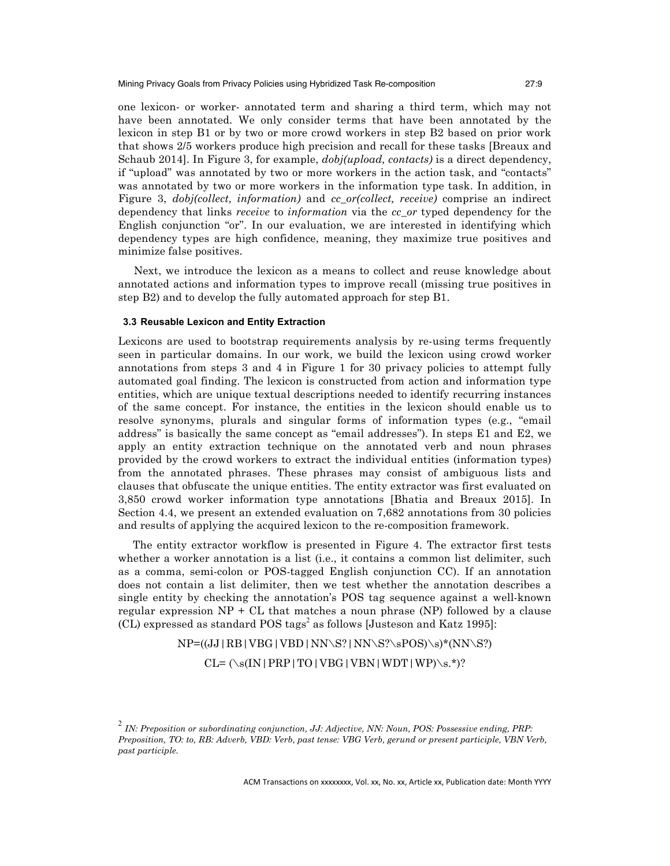one lexicon- or worker- annotated term and sharing a third term, which may not have been annotated. We only consider terms that have been annotated by the lexicon in step B1 or by two or more crowd workers in step B2 based on prior work that shows 2/5 workers produce high precision and recall for these tasks [Breaux and Schaub 2014]. In Figure 3, for example, *dobj(upload, contacts)* is a direct dependency, if "upload" was annotated by two or more workers in the action task, and "contacts" was annotated by two or more workers in the information type task. In addition, in Figure 3, *dobj(collect, information)* and *cc\_or(collect, receive)* comprise an indirect dependency that links *receive* to *information* via the *cc\_or* typed dependency for the English conjunction "or". In our evaluation, we are interested in identifying which dependency types are high confidence, meaning, they maximize true positives and minimize false positives.

Next, we introduce the lexicon as a means to collect and reuse knowledge about annotated actions and information types to improve recall (missing true positives in step B2) and to develop the fully automated approach for step B1.

### **3.3 Reusable Lexicon and Entity Extraction**

Lexicons are used to bootstrap requirements analysis by re-using terms frequently seen in particular domains. In our work, we build the lexicon using crowd worker annotations from steps 3 and 4 in Figure 1 for 30 privacy policies to attempt fully automated goal finding. The lexicon is constructed from action and information type entities, which are unique textual descriptions needed to identify recurring instances of the same concept. For instance, the entities in the lexicon should enable us to resolve synonyms, plurals and singular forms of information types (e.g., "email address" is basically the same concept as "email addresses"). In steps E1 and E2, we apply an entity extraction technique on the annotated verb and noun phrases provided by the crowd workers to extract the individual entities (information types) from the annotated phrases. These phrases may consist of ambiguous lists and clauses that obfuscate the unique entities. The entity extractor was first evaluated on 3,850 crowd worker information type annotations [Bhatia and Breaux 2015]. In Section 4.4, we present an extended evaluation on 7,682 annotations from 30 policies and results of applying the acquired lexicon to the re-composition framework.

The entity extractor workflow is presented in Figure 4. The extractor first tests whether a worker annotation is a list (i.e., it contains a common list delimiter, such as a comma, semi-colon or POS-tagged English conjunction CC). If an annotation does not contain a list delimiter, then we test whether the annotation describes a single entity by checking the annotation's POS tag sequence against a well-known regular expression  $NP + CL$  that matches a noun phrase (NP) followed by a clause  $(CL)$  expressed as standard POS tags<sup>2</sup> as follows [Justeson and Katz 1995]:

> $NP=((JJ|RB|VBG|VBD|NN\S?|NN\S?\SPOS)\s)*(NN\S?)$  $CL = (\s(IN)PRP|TO|VBG|VBN|WDT|WP)\s.*$ ?

ACM Transactions on xxxxxxxx, Vol. xx, No. xx, Article xx, Publication date: Month YYYY

 $^2$  *IN: Preposition or subordinating conjunction, JJ: Adjective, NN: Noun, POS: Possessive ending, PRP: Preposition, TO: to, RB: Adverb, VBD: Verb, past tense: VBG Verb, gerund or present participle, VBN Verb, past participle.*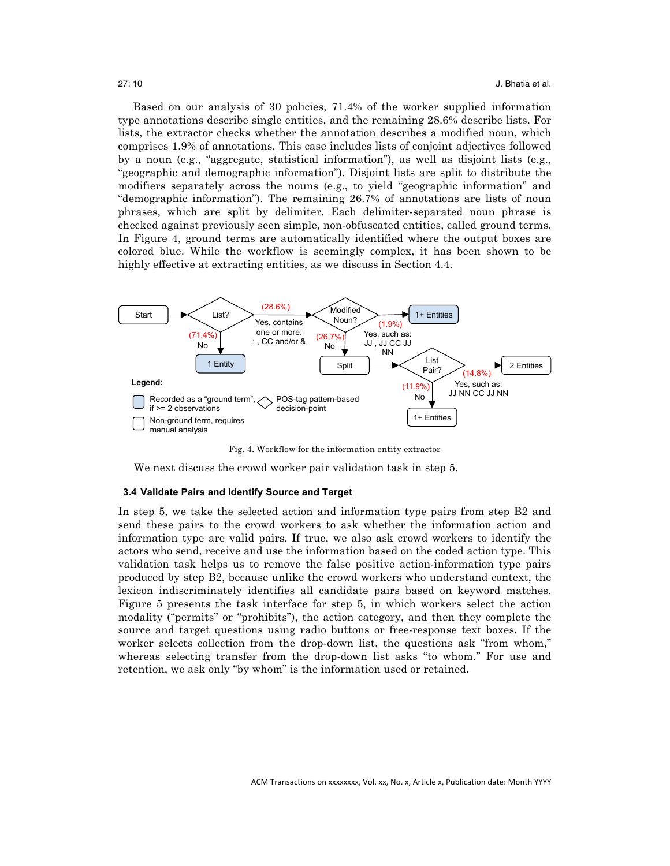Based on our analysis of 30 policies, 71.4% of the worker supplied information type annotations describe single entities, and the remaining 28.6% describe lists. For lists, the extractor checks whether the annotation describes a modified noun, which comprises 1.9% of annotations. This case includes lists of conjoint adjectives followed by a noun (e.g., "aggregate, statistical information"), as well as disjoint lists (e.g., "geographic and demographic information"). Disjoint lists are split to distribute the modifiers separately across the nouns (e.g., to yield "geographic information" and "demographic information"). The remaining 26.7% of annotations are lists of noun phrases, which are split by delimiter. Each delimiter-separated noun phrase is checked against previously seen simple, non-obfuscated entities, called ground terms. In Figure 4, ground terms are automatically identified where the output boxes are colored blue. While the workflow is seemingly complex, it has been shown to be highly effective at extracting entities, as we discuss in Section 4.4.



Fig. 4. Workflow for the information entity extractor

We next discuss the crowd worker pair validation task in step 5.

### **3.4 Validate Pairs and Identify Source and Target**

In step 5, we take the selected action and information type pairs from step B2 and send these pairs to the crowd workers to ask whether the information action and information type are valid pairs. If true, we also ask crowd workers to identify the actors who send, receive and use the information based on the coded action type. This validation task helps us to remove the false positive action-information type pairs produced by step B2, because unlike the crowd workers who understand context, the lexicon indiscriminately identifies all candidate pairs based on keyword matches. Figure 5 presents the task interface for step 5, in which workers select the action modality ("permits" or "prohibits"), the action category, and then they complete the source and target questions using radio buttons or free-response text boxes*.* If the worker selects collection from the drop-down list, the questions ask "from whom," whereas selecting transfer from the drop-down list asks "to whom." For use and retention, we ask only "by whom" is the information used or retained.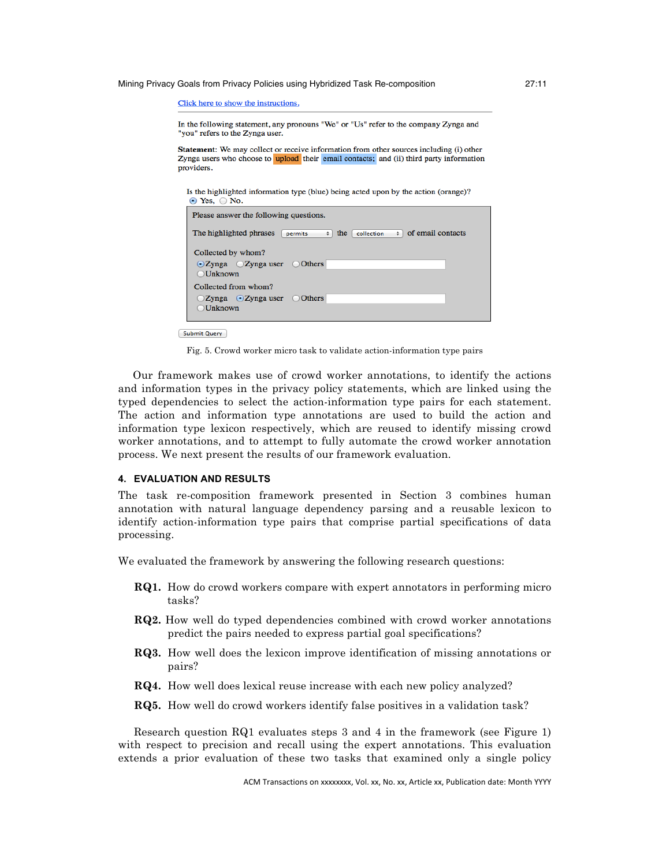Click here to show the instructions.

In the following statement, any pronouns "We" or "Us" refer to the company Zynga and "you" refers to the Zynga user.

Statement: We may collect or receive information from other sources including (i) other Zynga users who choose to upload their email contacts; and (ii) third party information providers.

Is the highlighted information type (blue) being acted upon by the action (orange)?  $\odot$  Yes,  $\odot$  No.

| Please answer the following questions.                                                      |  |
|---------------------------------------------------------------------------------------------|--|
| The highlighted phrases<br>of email contacts<br>the<br>collection<br>÷<br>$\div$<br>permits |  |
| Collected by whom?<br>$\odot$ Zynga $\odot$ Zynga user $\odot$ Others<br><b>OUnknown</b>    |  |
| Collected from whom?<br>$OZ$ ynga $OZ$ ynga user $O$ Others<br>Unknown                      |  |

**Submit Query** 

Fig. 5. Crowd worker micro task to validate action-information type pairs

Our framework makes use of crowd worker annotations, to identify the actions and information types in the privacy policy statements, which are linked using the typed dependencies to select the action-information type pairs for each statement. The action and information type annotations are used to build the action and information type lexicon respectively, which are reused to identify missing crowd worker annotations, and to attempt to fully automate the crowd worker annotation process. We next present the results of our framework evaluation.

### **4. EVALUATION AND RESULTS**

The task re-composition framework presented in Section 3 combines human annotation with natural language dependency parsing and a reusable lexicon to identify action-information type pairs that comprise partial specifications of data processing.

We evaluated the framework by answering the following research questions:

- **RQ1.** How do crowd workers compare with expert annotators in performing micro tasks?
- **RQ2.** How well do typed dependencies combined with crowd worker annotations predict the pairs needed to express partial goal specifications?
- **RQ3.** How well does the lexicon improve identification of missing annotations or pairs?
- **RQ4.** How well does lexical reuse increase with each new policy analyzed?
- **RQ5.** How well do crowd workers identify false positives in a validation task?

Research question RQ1 evaluates steps 3 and 4 in the framework (see Figure 1) with respect to precision and recall using the expert annotations. This evaluation extends a prior evaluation of these two tasks that examined only a single policy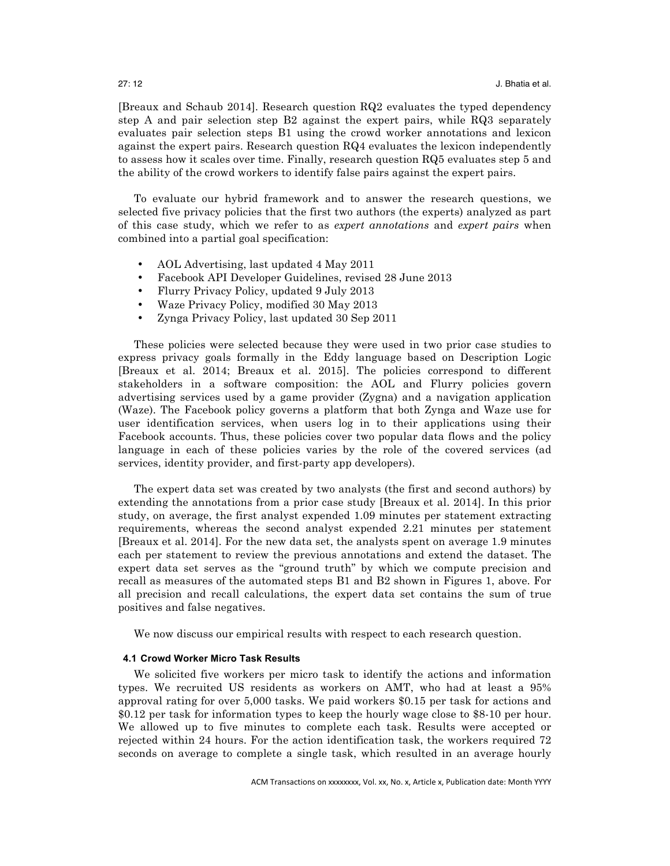[Breaux and Schaub 2014]. Research question RQ2 evaluates the typed dependency step A and pair selection step B2 against the expert pairs, while RQ3 separately evaluates pair selection steps B1 using the crowd worker annotations and lexicon against the expert pairs. Research question RQ4 evaluates the lexicon independently to assess how it scales over time. Finally, research question RQ5 evaluates step 5 and the ability of the crowd workers to identify false pairs against the expert pairs.

To evaluate our hybrid framework and to answer the research questions, we selected five privacy policies that the first two authors (the experts) analyzed as part of this case study, which we refer to as *expert annotations* and *expert pairs* when combined into a partial goal specification:

- AOL Advertising, last updated 4 May 2011
- Facebook API Developer Guidelines, revised 28 June 2013
- Flurry Privacy Policy, updated 9 July 2013
- Waze Privacy Policy, modified 30 May 2013
- Zynga Privacy Policy, last updated 30 Sep 2011

These policies were selected because they were used in two prior case studies to express privacy goals formally in the Eddy language based on Description Logic [Breaux et al. 2014; Breaux et al. 2015]. The policies correspond to different stakeholders in a software composition: the AOL and Flurry policies govern advertising services used by a game provider (Zygna) and a navigation application (Waze). The Facebook policy governs a platform that both Zynga and Waze use for user identification services, when users log in to their applications using their Facebook accounts. Thus, these policies cover two popular data flows and the policy language in each of these policies varies by the role of the covered services (ad services, identity provider, and first-party app developers).

The expert data set was created by two analysts (the first and second authors) by extending the annotations from a prior case study [Breaux et al. 2014]. In this prior study, on average, the first analyst expended 1.09 minutes per statement extracting requirements, whereas the second analyst expended 2.21 minutes per statement [Breaux et al. 2014]. For the new data set, the analysts spent on average 1.9 minutes each per statement to review the previous annotations and extend the dataset. The expert data set serves as the "ground truth" by which we compute precision and recall as measures of the automated steps B1 and B2 shown in Figures 1, above. For all precision and recall calculations, the expert data set contains the sum of true positives and false negatives.

We now discuss our empirical results with respect to each research question.

## **4.1 Crowd Worker Micro Task Results**

We solicited five workers per micro task to identify the actions and information types. We recruited US residents as workers on AMT, who had at least a 95% approval rating for over 5,000 tasks. We paid workers \$0.15 per task for actions and \$0.12 per task for information types to keep the hourly wage close to \$8-10 per hour. We allowed up to five minutes to complete each task. Results were accepted or rejected within 24 hours. For the action identification task, the workers required 72 seconds on average to complete a single task, which resulted in an average hourly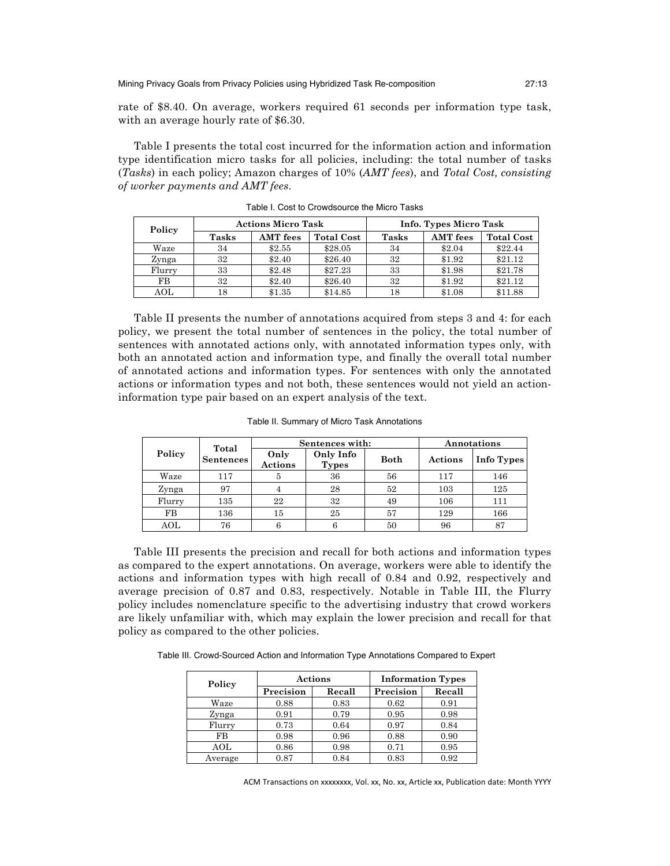rate of \$8.40. On average, workers required 61 seconds per information type task, with an average hourly rate of \$6.30.

Table I presents the total cost incurred for the information action and information type identification micro tasks for all policies, including: the total number of tasks (*Tasks*) in each policy; Amazon charges of 10% (*AMT fees*), and *Total Cost, consisting of worker payments and AMT fees*.

| Policy     | <b>Actions Micro Task</b> |                 |                   | Info. Types Micro Task |                 |                   |
|------------|---------------------------|-----------------|-------------------|------------------------|-----------------|-------------------|
|            | Tasks                     | <b>AMT</b> fees | <b>Total Cost</b> | Tasks                  | <b>AMT</b> fees | <b>Total Cost</b> |
| Waze       | 34                        | \$2.55          | \$28.05           | 34                     | \$2.04          | \$22.44           |
| Zynga      | 32                        | \$2.40          | \$26.40           | 32                     | \$1.92          | \$21.12           |
| Flurry     | 33                        | \$2.48          | \$27.23           | 33                     | \$1.98          | \$21.78           |
| FB         | 32                        | \$2.40          | \$26.40           | 32                     | \$1.92          | \$21.12           |
| $\rm{AOL}$ | 18                        | \$1.35          | \$14.85           | 18                     | \$1.08          | \$11.88           |

Table I. Cost to Crowdsource the Micro Tasks

Table II presents the number of annotations acquired from steps 3 and 4: for each policy, we present the total number of sentences in the policy, the total number of sentences with annotated actions only, with annotated information types only, with both an annotated action and information type, and finally the overall total number of annotated actions and information types. For sentences with only the annotated actions or information types and not both, these sentences would not yield an actioninformation type pair based on an expert analysis of the text.

| Total      |                  |                 | Sentences with:           | Annotations |         |                   |
|------------|------------------|-----------------|---------------------------|-------------|---------|-------------------|
| Policy     | <b>Sentences</b> | Only<br>Actions | Only Info<br><b>Types</b> | <b>Both</b> | Actions | <b>Info Types</b> |
| Waze       | 117              |                 | 36                        | 56          | 117     | 146               |
| Zynga      | 97               |                 | 28                        | 52          | 103     | 125               |
| Flurry     | 135              | 22              | 32                        | 49          | 106     | 111               |
| FB         | 136              | 15              | 25                        | 57          | 129     | 166               |
| $\rm{AOL}$ | 76               |                 |                           | 50          | 96      | 87                |

Table II. Summary of Micro Task Annotations

Table III presents the precision and recall for both actions and information types as compared to the expert annotations. On average, workers were able to identify the actions and information types with high recall of 0.84 and 0.92, respectively and average precision of 0.87 and 0.83, respectively. Notable in Table III, the Flurry policy includes nomenclature specific to the advertising industry that crowd workers are likely unfamiliar with, which may explain the lower precision and recall for that policy as compared to the other policies.

Table III. Crowd-Sourced Action and Information Type Annotations Compared to Expert

| Policy  |           | Actions |           | <b>Information Types</b> |
|---------|-----------|---------|-----------|--------------------------|
|         | Precision | Recall  | Precision | Recall                   |
| Waze    | 0.88      | 0.83    | 0.62      | 0.91                     |
| Zynga   | 0.91      | 0.79    | 0.95      | 0.98                     |
| Flurry  | 0.73      | 0.64    | 0.97      | 0.84                     |
| FB      | 0.98      | 0.96    | 0.88      | 0.90                     |
| AOL     | 0.86      | 0.98    | 0.71      | 0.95                     |
| Average | 0.87      | 0.84    | 0.83      | 0.92                     |

ACM Transactions on xxxxxxxx, Vol. xx, No. xx, Article xx, Publication date: Month YYYY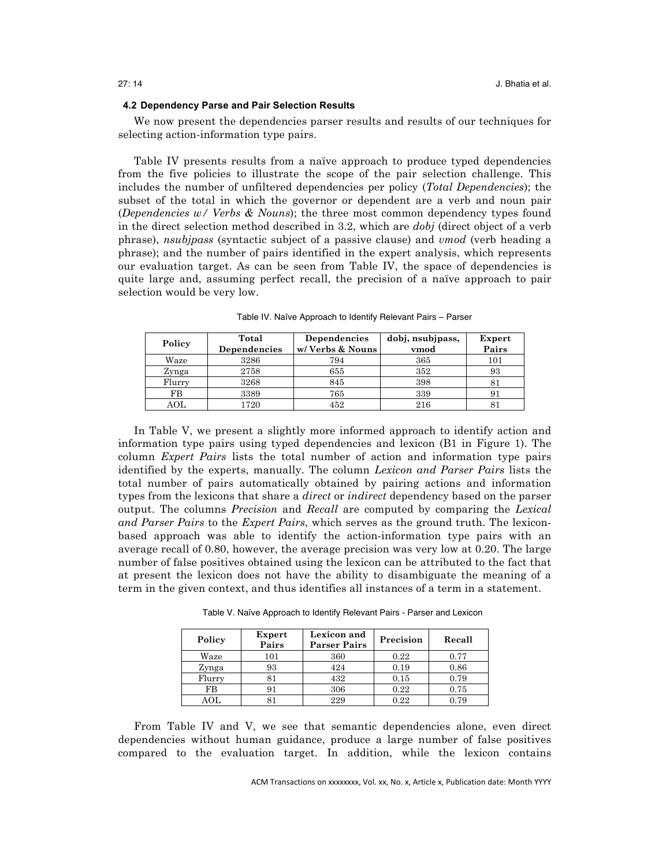### **4.2 Dependency Parse and Pair Selection Results**

We now present the dependencies parser results and results of our techniques for selecting action-information type pairs.

Table IV presents results from a naïve approach to produce typed dependencies from the five policies to illustrate the scope of the pair selection challenge. This includes the number of unfiltered dependencies per policy (*Total Dependencies*); the subset of the total in which the governor or dependent are a verb and noun pair (*Dependencies w/ Verbs & Nouns*); the three most common dependency types found in the direct selection method described in 3.2, which are *dobj* (direct object of a verb phrase), *nsubjpass* (syntactic subject of a passive clause) and *vmod* (verb heading a phrase); and the number of pairs identified in the expert analysis, which represents our evaluation target. As can be seen from Table IV, the space of dependencies is quite large and, assuming perfect recall, the precision of a naïve approach to pair selection would be very low.

| Policy | Total<br>Dependencies | Dependencies<br>w/ Verbs & Nouns | dobj, nsubjpass,<br>vmod | Expert<br>Pairs |
|--------|-----------------------|----------------------------------|--------------------------|-----------------|
| Waze   | 3286                  | 794                              | 365                      | 101             |
| Zynga  | 2758                  | 655                              | 352                      | 93              |
| Flurry | 3268                  | 845                              | 398                      |                 |
| FB     | 3389                  | 765                              | 339                      |                 |
|        | 1720                  | 452                              | 216                      |                 |

Table IV. Naïve Approach to Identify Relevant Pairs – Parser

In Table V, we present a slightly more informed approach to identify action and information type pairs using typed dependencies and lexicon (B1 in Figure 1). The column *Expert Pairs* lists the total number of action and information type pairs identified by the experts, manually. The column *Lexicon and Parser Pairs* lists the total number of pairs automatically obtained by pairing actions and information types from the lexicons that share a *direct* or *indirect* dependency based on the parser output. The columns *Precision* and *Recall* are computed by comparing the *Lexical and Parser Pairs* to the *Expert Pairs*, which serves as the ground truth. The lexiconbased approach was able to identify the action-information type pairs with an average recall of 0.80, however, the average precision was very low at 0.20. The large number of false positives obtained using the lexicon can be attributed to the fact that at present the lexicon does not have the ability to disambiguate the meaning of a term in the given context, and thus identifies all instances of a term in a statement.

| Policy | Expert<br>Pairs | Lexicon and<br><b>Parser Pairs</b> | Precision | Recall |
|--------|-----------------|------------------------------------|-----------|--------|
| Waze   | 101             | 360                                | 0.22      | 0.77   |
| Zynga  | 93              | 424                                | 0.19      | 0.86   |
| Flurry | 81              | 432                                | 0.15      | 0.79   |
| FB     | 91              | 306                                | 0.22      | 0.75   |
|        |                 | 229                                | 0.22      | 0.79   |

Table V. Naïve Approach to Identify Relevant Pairs - Parser and Lexicon

From Table IV and V, we see that semantic dependencies alone, even direct dependencies without human guidance, produce a large number of false positives compared to the evaluation target. In addition, while the lexicon contains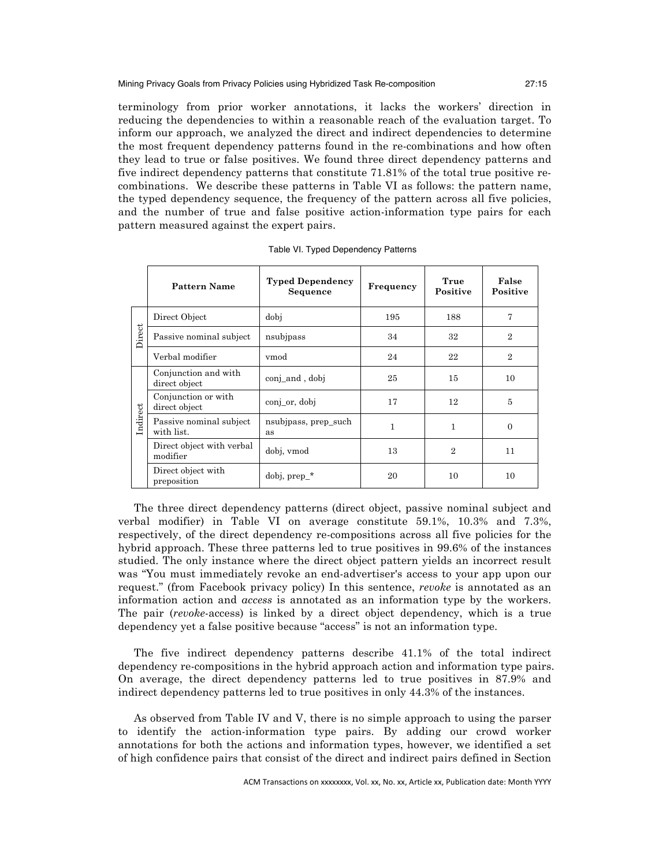terminology from prior worker annotations, it lacks the workers' direction in reducing the dependencies to within a reasonable reach of the evaluation target. To inform our approach, we analyzed the direct and indirect dependencies to determine the most frequent dependency patterns found in the re-combinations and how often they lead to true or false positives. We found three direct dependency patterns and five indirect dependency patterns that constitute 71.81% of the total true positive recombinations. We describe these patterns in Table VI as follows: the pattern name, the typed dependency sequence, the frequency of the pattern across all five policies, and the number of true and false positive action-information type pairs for each pattern measured against the expert pairs.

|          | Pattern Name                          | <b>Typed Dependency</b><br>Sequence | Frequency    | True<br><b>Positive</b> | False<br>Positive           |
|----------|---------------------------------------|-------------------------------------|--------------|-------------------------|-----------------------------|
|          | Direct Object                         | dobi                                | 195          | 188                     | 7                           |
| Direct   | Passive nominal subject               | nsubjpass                           | 34           | 32                      | $\overline{2}$              |
|          | Verbal modifier                       | ymod                                | 24           | 22                      | $\mathcal{D}_{\mathcal{L}}$ |
|          | Conjunction and with<br>direct object | conj_and, dobj                      | 25           | 15                      | 10                          |
|          | Conjunction or with<br>direct object  | conj or, dobi                       | 17           | 12                      | 5                           |
| Indirect | Passive nominal subject<br>with list. | nsubjpass, prep_such<br>as          | $\mathbf{1}$ | 1                       | $\Omega$                    |
|          | Direct object with verbal<br>modifier | dobj, vmod                          | 13           | $\overline{2}$          | 11                          |
|          | Direct object with<br>preposition     | $dobj, prep.*$                      | 20           | 10                      | 10                          |

Table VI. Typed Dependency Patterns

The three direct dependency patterns (direct object, passive nominal subject and verbal modifier) in Table VI on average constitute 59.1%, 10.3% and 7.3%, respectively, of the direct dependency re-compositions across all five policies for the hybrid approach. These three patterns led to true positives in 99.6% of the instances studied. The only instance where the direct object pattern yields an incorrect result was "You must immediately revoke an end-advertiser's access to your app upon our request." (from Facebook privacy policy) In this sentence, *revoke* is annotated as an information action and *access* is annotated as an information type by the workers. The pair (*revoke*-access) is linked by a direct object dependency, which is a true dependency yet a false positive because "access" is not an information type.

The five indirect dependency patterns describe 41.1% of the total indirect dependency re-compositions in the hybrid approach action and information type pairs. On average, the direct dependency patterns led to true positives in 87.9% and indirect dependency patterns led to true positives in only 44.3% of the instances.

As observed from Table IV and V, there is no simple approach to using the parser to identify the action-information type pairs. By adding our crowd worker annotations for both the actions and information types, however, we identified a set of high confidence pairs that consist of the direct and indirect pairs defined in Section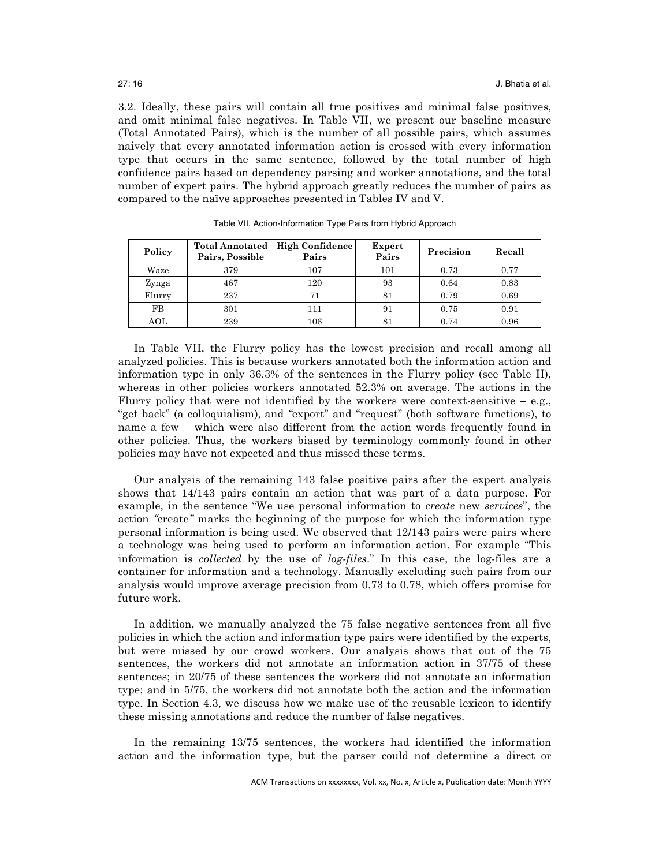3.2. Ideally, these pairs will contain all true positives and minimal false positives, and omit minimal false negatives. In Table VII, we present our baseline measure (Total Annotated Pairs), which is the number of all possible pairs, which assumes naively that every annotated information action is crossed with every information type that occurs in the same sentence, followed by the total number of high confidence pairs based on dependency parsing and worker annotations, and the total number of expert pairs. The hybrid approach greatly reduces the number of pairs as compared to the naïve approaches presented in Tables IV and V.

| Policy | <b>Total Annotated</b><br>Pairs, Possible | High Confidence<br>Pairs | Expert<br>Pairs | Precision | Recall |
|--------|-------------------------------------------|--------------------------|-----------------|-----------|--------|
| Waze   | 379                                       | 107                      | 101             | 0.73      | 0.77   |
| Zynga  | 467                                       | 120                      | 93              | 0.64      | 0.83   |
| Flurry | 237                                       | 71                       | 81              | 0.79      | 0.69   |
| FB     | 301                                       | 111                      | 91              | 0.75      | 0.91   |
| AOL    | 239                                       | 106                      | 81              | 0.74      | 0.96   |

Table VII. Action-Information Type Pairs from Hybrid Approach

In Table VII, the Flurry policy has the lowest precision and recall among all analyzed policies. This is because workers annotated both the information action and information type in only 36.3% of the sentences in the Flurry policy (see Table II), whereas in other policies workers annotated 52.3% on average. The actions in the Flurry policy that were not identified by the workers were context-sensitive  $-$  e.g., "get back" (a colloquialism)*,* and *"*export" and "request" (both software functions), to name a few – which were also different from the action words frequently found in other policies. Thus, the workers biased by terminology commonly found in other policies may have not expected and thus missed these terms.

Our analysis of the remaining 143 false positive pairs after the expert analysis shows that 14/143 pairs contain an action that was part of a data purpose. For example, in the sentence "We use personal information to *create* new *services*", the action *"*create*"* marks the beginning of the purpose for which the information type personal information is being used. We observed that 12/143 pairs were pairs where a technology was being used to perform an information action. For example "This information is *collected* by the use of *log-files*." In this case, the log-files are a container for information and a technology. Manually excluding such pairs from our analysis would improve average precision from 0.73 to 0.78, which offers promise for future work.

In addition, we manually analyzed the 75 false negative sentences from all five policies in which the action and information type pairs were identified by the experts, but were missed by our crowd workers. Our analysis shows that out of the 75 sentences, the workers did not annotate an information action in 37/75 of these sentences; in 20/75 of these sentences the workers did not annotate an information type; and in 5/75, the workers did not annotate both the action and the information type. In Section 4.3, we discuss how we make use of the reusable lexicon to identify these missing annotations and reduce the number of false negatives.

In the remaining 13/75 sentences, the workers had identified the information action and the information type, but the parser could not determine a direct or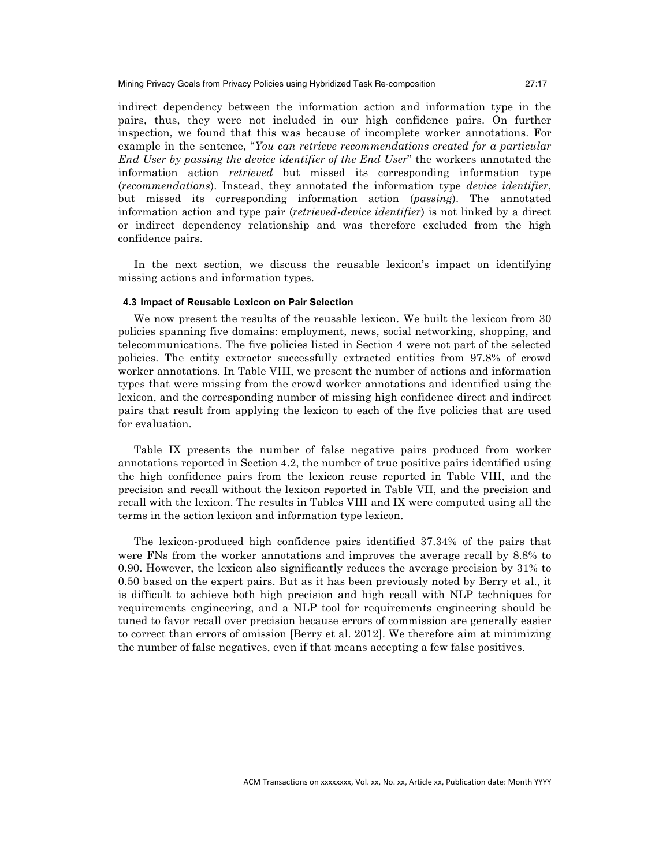indirect dependency between the information action and information type in the pairs, thus, they were not included in our high confidence pairs. On further inspection, we found that this was because of incomplete worker annotations. For example in the sentence, "*You can retrieve recommendations created for a particular End User by passing the device identifier of the End User*" the workers annotated the information action *retrieved* but missed its corresponding information type (*recommendations*). Instead, they annotated the information type *device identifier*, but missed its corresponding information action (*passing*). The annotated information action and type pair (*retrieved-device identifier*) is not linked by a direct or indirect dependency relationship and was therefore excluded from the high confidence pairs.

In the next section, we discuss the reusable lexicon's impact on identifying missing actions and information types.

### **4.3 Impact of Reusable Lexicon on Pair Selection**

We now present the results of the reusable lexicon. We built the lexicon from 30 policies spanning five domains: employment, news, social networking, shopping, and telecommunications. The five policies listed in Section 4 were not part of the selected policies. The entity extractor successfully extracted entities from 97.8% of crowd worker annotations. In Table VIII, we present the number of actions and information types that were missing from the crowd worker annotations and identified using the lexicon, and the corresponding number of missing high confidence direct and indirect pairs that result from applying the lexicon to each of the five policies that are used for evaluation.

Table IX presents the number of false negative pairs produced from worker annotations reported in Section 4.2, the number of true positive pairs identified using the high confidence pairs from the lexicon reuse reported in Table VIII, and the precision and recall without the lexicon reported in Table VII, and the precision and recall with the lexicon. The results in Tables VIII and IX were computed using all the terms in the action lexicon and information type lexicon.

The lexicon-produced high confidence pairs identified 37.34% of the pairs that were FNs from the worker annotations and improves the average recall by 8.8% to 0.90. However, the lexicon also significantly reduces the average precision by 31% to 0.50 based on the expert pairs. But as it has been previously noted by Berry et al., it is difficult to achieve both high precision and high recall with NLP techniques for requirements engineering, and a NLP tool for requirements engineering should be tuned to favor recall over precision because errors of commission are generally easier to correct than errors of omission [Berry et al. 2012]. We therefore aim at minimizing the number of false negatives, even if that means accepting a few false positives.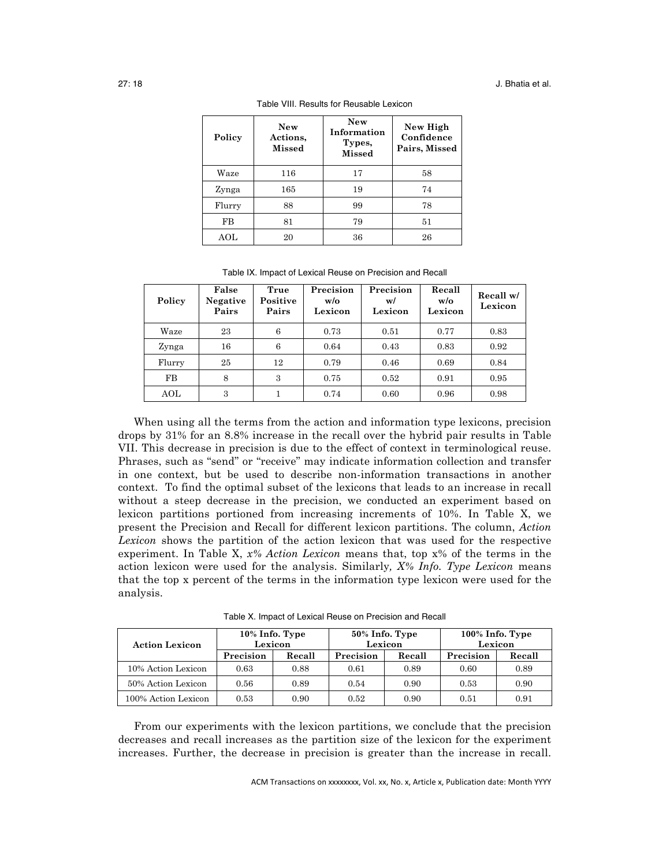| Policy | <b>New</b><br>Actions,<br><b>Missed</b> | <b>New</b><br>Information<br>Types,<br><b>Missed</b> | New High<br>Confidence<br>Pairs, Missed |
|--------|-----------------------------------------|------------------------------------------------------|-----------------------------------------|
| Waze   | 116                                     | 17                                                   | 58                                      |
| Zynga  | 165                                     | 19                                                   | 74                                      |
| Flurry | 88                                      | 99                                                   | 78                                      |
| FB     | 81                                      | 79                                                   | 51                                      |
| AOL    | 20                                      | 36                                                   | 26                                      |

Table VIII. Results for Reusable Lexicon

| Table IX. Impact of Lexical Reuse on Precision and Recall |
|-----------------------------------------------------------|
|-----------------------------------------------------------|

| Policy    | False<br><b>Negative</b><br>Pairs | True<br>Positive<br>Pairs | Precision<br>w/o<br>Lexicon | Precision<br>w/<br>Lexicon | Recall<br>w/o<br>Lexicon | Recall w/<br>Lexicon |
|-----------|-----------------------------------|---------------------------|-----------------------------|----------------------------|--------------------------|----------------------|
| Waze      | 23                                | 6                         | 0.73                        | 0.51                       | 0.77                     | 0.83                 |
| Zynga     | 16                                | 6                         | 0.64                        | 0.43                       | 0.83                     | 0.92                 |
| Flurry    | 25                                | 12                        | 0.79                        | 0.46                       | 0.69                     | 0.84                 |
| <b>FB</b> | 8                                 | 3                         | 0.75                        | 0.52                       | 0.91                     | 0.95                 |
| AOL       | 3                                 |                           | 0.74                        | 0.60                       | 0.96                     | 0.98                 |

When using all the terms from the action and information type lexicons, precision drops by 31% for an 8.8% increase in the recall over the hybrid pair results in Table VII. This decrease in precision is due to the effect of context in terminological reuse. Phrases, such as "send" or "receive" may indicate information collection and transfer in one context, but be used to describe non-information transactions in another context. To find the optimal subset of the lexicons that leads to an increase in recall without a steep decrease in the precision, we conducted an experiment based on lexicon partitions portioned from increasing increments of 10%. In Table X, we present the Precision and Recall for different lexicon partitions. The column, *Action Lexicon* shows the partition of the action lexicon that was used for the respective experiment. In Table X, *x% Action Lexicon* means that, top x% of the terms in the action lexicon were used for the analysis. Similarly*, X% Info. Type Lexicon* means that the top x percent of the terms in the information type lexicon were used for the analysis.

|  |  |  |  | Table X. Impact of Lexical Reuse on Precision and Recall |  |  |  |
|--|--|--|--|----------------------------------------------------------|--|--|--|
|--|--|--|--|----------------------------------------------------------|--|--|--|

| <b>Action Lexicon</b> | 10% Info. Type<br>Lexicon |        |           | 50% Info. Type<br>Lexicon | $100\%$ Info. Type<br>Lexicon |        |
|-----------------------|---------------------------|--------|-----------|---------------------------|-------------------------------|--------|
|                       | Precision                 | Recall | Precision | Recall                    | Precision                     | Recall |
| 10% Action Lexicon    | 0.63                      | 0.88   | 0.61      | 0.89                      | 0.60                          | 0.89   |
| 50% Action Lexicon    | 0.56                      | 0.89   | 0.54      | 0.90                      | 0.53                          | 0.90   |
| 100% Action Lexicon   | 0.53                      | 0.90   | 0.52      | 0.90                      | 0.51                          | 0.91   |

From our experiments with the lexicon partitions, we conclude that the precision decreases and recall increases as the partition size of the lexicon for the experiment increases. Further, the decrease in precision is greater than the increase in recall.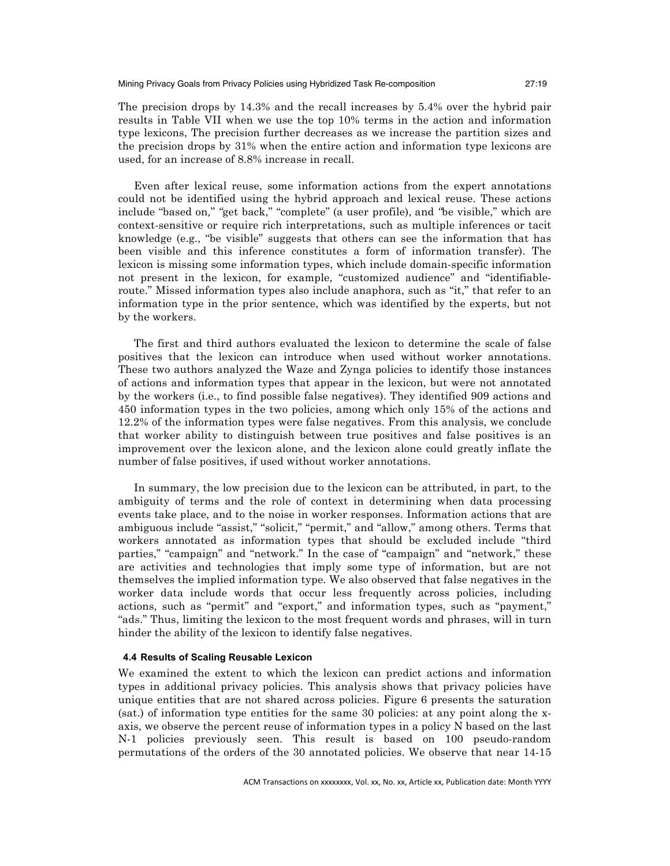The precision drops by 14.3% and the recall increases by 5.4% over the hybrid pair results in Table VII when we use the top 10% terms in the action and information type lexicons, The precision further decreases as we increase the partition sizes and the precision drops by 31% when the entire action and information type lexicons are used, for an increase of 8.8% increase in recall.

Even after lexical reuse, some information actions from the expert annotations could not be identified using the hybrid approach and lexical reuse. These actions include "based on*,*" *"*get back," "complete" (a user profile), and *"*be visible," which are context-sensitive or require rich interpretations, such as multiple inferences or tacit knowledge (e.g., "be visible" suggests that others can see the information that has been visible and this inference constitutes a form of information transfer). The lexicon is missing some information types, which include domain-specific information not present in the lexicon, for example, "customized audience" and "identifiableroute." Missed information types also include anaphora, such as "it," that refer to an information type in the prior sentence, which was identified by the experts, but not by the workers.

The first and third authors evaluated the lexicon to determine the scale of false positives that the lexicon can introduce when used without worker annotations. These two authors analyzed the Waze and Zynga policies to identify those instances of actions and information types that appear in the lexicon, but were not annotated by the workers (i.e., to find possible false negatives). They identified 909 actions and 450 information types in the two policies, among which only 15% of the actions and 12.2% of the information types were false negatives. From this analysis, we conclude that worker ability to distinguish between true positives and false positives is an improvement over the lexicon alone, and the lexicon alone could greatly inflate the number of false positives, if used without worker annotations.

In summary, the low precision due to the lexicon can be attributed, in part, to the ambiguity of terms and the role of context in determining when data processing events take place, and to the noise in worker responses. Information actions that are ambiguous include "assist," "solicit," "permit," and "allow," among others. Terms that workers annotated as information types that should be excluded include "third parties," "campaign" and "network." In the case of "campaign" and "network," these are activities and technologies that imply some type of information, but are not themselves the implied information type. We also observed that false negatives in the worker data include words that occur less frequently across policies, including actions, such as "permit" and "export," and information types, such as "payment," "ads." Thus, limiting the lexicon to the most frequent words and phrases, will in turn hinder the ability of the lexicon to identify false negatives.

## **4.4 Results of Scaling Reusable Lexicon**

We examined the extent to which the lexicon can predict actions and information types in additional privacy policies. This analysis shows that privacy policies have unique entities that are not shared across policies. Figure 6 presents the saturation (sat.) of information type entities for the same 30 policies: at any point along the xaxis, we observe the percent reuse of information types in a policy N based on the last N-1 policies previously seen. This result is based on 100 pseudo-random permutations of the orders of the 30 annotated policies. We observe that near 14-15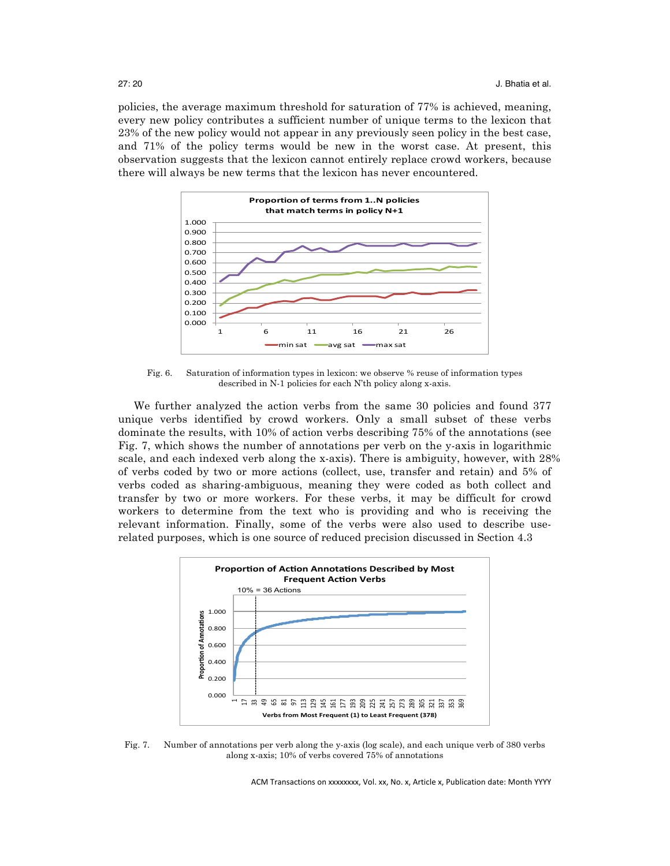policies, the average maximum threshold for saturation of 77% is achieved, meaning, every new policy contributes a sufficient number of unique terms to the lexicon that 23% of the new policy would not appear in any previously seen policy in the best case, and 71% of the policy terms would be new in the worst case. At present, this observation suggests that the lexicon cannot entirely replace crowd workers, because there will always be new terms that the lexicon has never encountered.



Fig. 6. Saturation of information types in lexicon: we observe % reuse of information types described in N-1 policies for each N'th policy along x-axis.

We further analyzed the action verbs from the same 30 policies and found 377 unique verbs identified by crowd workers. Only a small subset of these verbs dominate the results, with 10% of action verbs describing 75% of the annotations (see Fig. 7, which shows the number of annotations per verb on the y-axis in logarithmic scale, and each indexed verb along the x-axis). There is ambiguity, however, with 28% of verbs coded by two or more actions (collect, use, transfer and retain) and 5% of verbs coded as sharing-ambiguous, meaning they were coded as both collect and transfer by two or more workers. For these verbs, it may be difficult for crowd workers to determine from the text who is providing and who is receiving the relevant information. Finally, some of the verbs were also used to describe userelated purposes, which is one source of reduced precision discussed in Section 4.3



Fig. 7. Number of annotations per verb along the y-axis (log scale), and each unique verb of 380 verbs along x-axis; 10% of verbs covered 75% of annotations

ACM Transactions on xxxxxxx, Vol. xx, No. x, Article x, Publication date: Month YYYY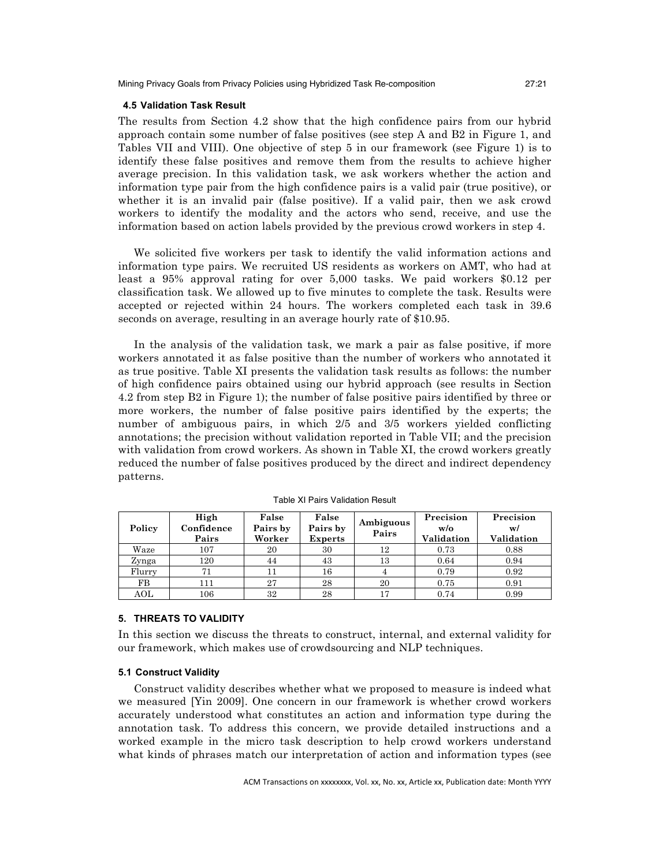### **4.5 Validation Task Result**

The results from Section 4.2 show that the high confidence pairs from our hybrid approach contain some number of false positives (see step A and B2 in Figure 1, and Tables VII and VIII). One objective of step 5 in our framework (see Figure 1) is to identify these false positives and remove them from the results to achieve higher average precision. In this validation task, we ask workers whether the action and information type pair from the high confidence pairs is a valid pair (true positive), or whether it is an invalid pair (false positive). If a valid pair, then we ask crowd workers to identify the modality and the actors who send, receive, and use the information based on action labels provided by the previous crowd workers in step 4.

We solicited five workers per task to identify the valid information actions and information type pairs. We recruited US residents as workers on AMT, who had at least a 95% approval rating for over 5,000 tasks. We paid workers \$0.12 per classification task. We allowed up to five minutes to complete the task. Results were accepted or rejected within 24 hours. The workers completed each task in 39.6 seconds on average, resulting in an average hourly rate of \$10.95.

In the analysis of the validation task, we mark a pair as false positive, if more workers annotated it as false positive than the number of workers who annotated it as true positive. Table XI presents the validation task results as follows: the number of high confidence pairs obtained using our hybrid approach (see results in Section 4.2 from step B2 in Figure 1); the number of false positive pairs identified by three or more workers, the number of false positive pairs identified by the experts; the number of ambiguous pairs, in which 2/5 and 3/5 workers yielded conflicting annotations; the precision without validation reported in Table VII; and the precision with validation from crowd workers. As shown in Table XI, the crowd workers greatly reduced the number of false positives produced by the direct and indirect dependency patterns.

| Policy     | High<br>Confidence<br>Pairs | False<br>Pairs by<br>Worker | False<br>Pairs by<br><b>Experts</b> | Ambiguous<br>Pairs | Precision<br>$w/\alpha$<br>Validation | Precision<br>w/<br>Validation |
|------------|-----------------------------|-----------------------------|-------------------------------------|--------------------|---------------------------------------|-------------------------------|
| Waze       | 107                         | 20                          | 30                                  | 12                 | 0.73                                  | 0.88                          |
| Zynga      | 120                         | 44                          | 43                                  | 13                 | 0.64                                  | 0.94                          |
| Flurry     |                             | 11                          | 16                                  |                    | 0.79                                  | 0.92                          |
| FB         | 111                         | 27                          | 28                                  | 20                 | 0.75                                  | 0.91                          |
| $\rm{AOL}$ | 106                         | 32                          | 28                                  | 17                 | 0.74                                  | 0.99                          |

Table XI Pairs Validation Result

# **5. THREATS TO VALIDITY**

In this section we discuss the threats to construct, internal, and external validity for our framework, which makes use of crowdsourcing and NLP techniques.

## **5.1 Construct Validity**

Construct validity describes whether what we proposed to measure is indeed what we measured [Yin 2009]. One concern in our framework is whether crowd workers accurately understood what constitutes an action and information type during the annotation task. To address this concern, we provide detailed instructions and a worked example in the micro task description to help crowd workers understand what kinds of phrases match our interpretation of action and information types (see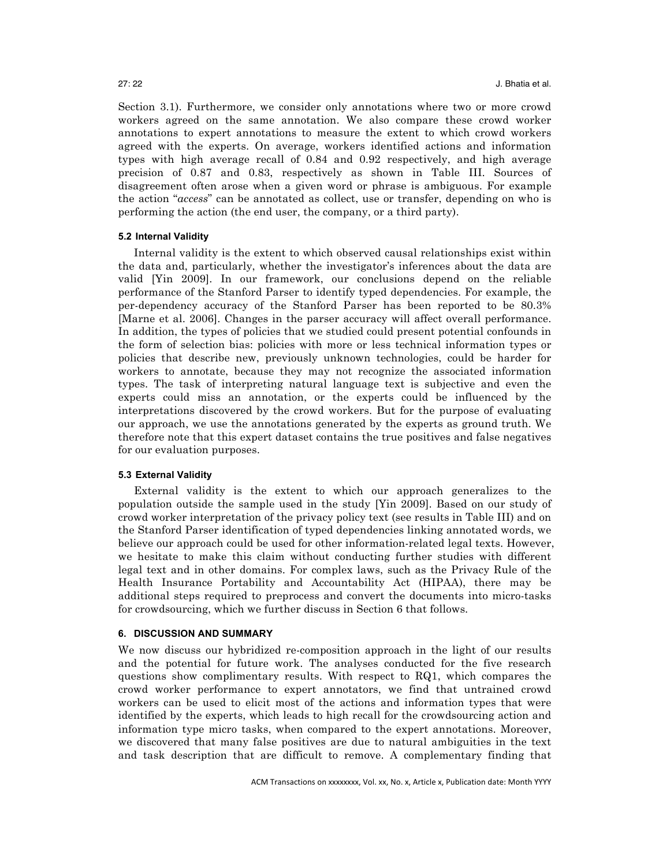Section 3.1). Furthermore, we consider only annotations where two or more crowd workers agreed on the same annotation. We also compare these crowd worker annotations to expert annotations to measure the extent to which crowd workers agreed with the experts. On average, workers identified actions and information types with high average recall of 0.84 and 0.92 respectively, and high average precision of 0.87 and 0.83, respectively as shown in Table III. Sources of disagreement often arose when a given word or phrase is ambiguous. For example the action "*access*" can be annotated as collect, use or transfer, depending on who is performing the action (the end user, the company, or a third party).

# **5.2 Internal Validity**

Internal validity is the extent to which observed causal relationships exist within the data and, particularly, whether the investigator's inferences about the data are valid [Yin 2009]. In our framework, our conclusions depend on the reliable performance of the Stanford Parser to identify typed dependencies. For example, the per-dependency accuracy of the Stanford Parser has been reported to be 80.3% [Marne et al. 2006]. Changes in the parser accuracy will affect overall performance. In addition, the types of policies that we studied could present potential confounds in the form of selection bias: policies with more or less technical information types or policies that describe new, previously unknown technologies, could be harder for workers to annotate, because they may not recognize the associated information types. The task of interpreting natural language text is subjective and even the experts could miss an annotation, or the experts could be influenced by the interpretations discovered by the crowd workers. But for the purpose of evaluating our approach, we use the annotations generated by the experts as ground truth. We therefore note that this expert dataset contains the true positives and false negatives for our evaluation purposes.

# **5.3 External Validity**

External validity is the extent to which our approach generalizes to the population outside the sample used in the study [Yin 2009]. Based on our study of crowd worker interpretation of the privacy policy text (see results in Table III) and on the Stanford Parser identification of typed dependencies linking annotated words, we believe our approach could be used for other information-related legal texts. However, we hesitate to make this claim without conducting further studies with different legal text and in other domains. For complex laws, such as the Privacy Rule of the Health Insurance Portability and Accountability Act (HIPAA), there may be additional steps required to preprocess and convert the documents into micro-tasks for crowdsourcing, which we further discuss in Section 6 that follows.

# **6. DISCUSSION AND SUMMARY**

We now discuss our hybridized re-composition approach in the light of our results and the potential for future work. The analyses conducted for the five research questions show complimentary results. With respect to RQ1, which compares the crowd worker performance to expert annotators, we find that untrained crowd workers can be used to elicit most of the actions and information types that were identified by the experts, which leads to high recall for the crowdsourcing action and information type micro tasks, when compared to the expert annotations. Moreover, we discovered that many false positives are due to natural ambiguities in the text and task description that are difficult to remove. A complementary finding that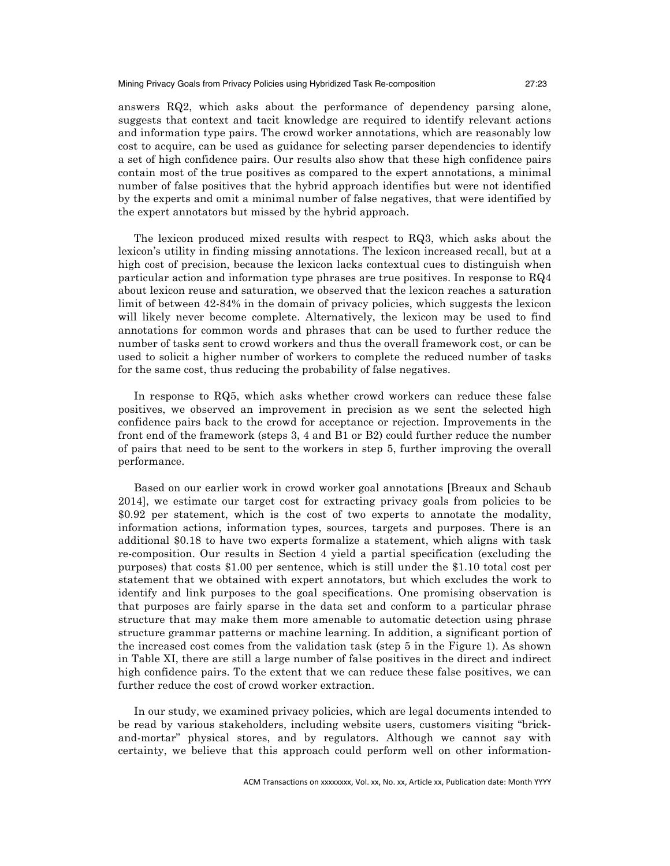answers RQ2, which asks about the performance of dependency parsing alone, suggests that context and tacit knowledge are required to identify relevant actions and information type pairs. The crowd worker annotations, which are reasonably low cost to acquire, can be used as guidance for selecting parser dependencies to identify a set of high confidence pairs. Our results also show that these high confidence pairs contain most of the true positives as compared to the expert annotations, a minimal number of false positives that the hybrid approach identifies but were not identified by the experts and omit a minimal number of false negatives, that were identified by the expert annotators but missed by the hybrid approach.

The lexicon produced mixed results with respect to RQ3, which asks about the lexicon's utility in finding missing annotations. The lexicon increased recall, but at a high cost of precision, because the lexicon lacks contextual cues to distinguish when particular action and information type phrases are true positives. In response to RQ4 about lexicon reuse and saturation, we observed that the lexicon reaches a saturation limit of between 42-84% in the domain of privacy policies, which suggests the lexicon will likely never become complete. Alternatively, the lexicon may be used to find annotations for common words and phrases that can be used to further reduce the number of tasks sent to crowd workers and thus the overall framework cost, or can be used to solicit a higher number of workers to complete the reduced number of tasks for the same cost, thus reducing the probability of false negatives.

In response to RQ5, which asks whether crowd workers can reduce these false positives, we observed an improvement in precision as we sent the selected high confidence pairs back to the crowd for acceptance or rejection. Improvements in the front end of the framework (steps 3, 4 and B1 or B2) could further reduce the number of pairs that need to be sent to the workers in step 5, further improving the overall performance.

Based on our earlier work in crowd worker goal annotations [Breaux and Schaub 2014], we estimate our target cost for extracting privacy goals from policies to be \$0.92 per statement, which is the cost of two experts to annotate the modality, information actions, information types, sources, targets and purposes. There is an additional \$0.18 to have two experts formalize a statement, which aligns with task re-composition. Our results in Section 4 yield a partial specification (excluding the purposes) that costs \$1.00 per sentence, which is still under the \$1.10 total cost per statement that we obtained with expert annotators, but which excludes the work to identify and link purposes to the goal specifications. One promising observation is that purposes are fairly sparse in the data set and conform to a particular phrase structure that may make them more amenable to automatic detection using phrase structure grammar patterns or machine learning. In addition, a significant portion of the increased cost comes from the validation task (step 5 in the Figure 1). As shown in Table XI, there are still a large number of false positives in the direct and indirect high confidence pairs. To the extent that we can reduce these false positives, we can further reduce the cost of crowd worker extraction.

In our study, we examined privacy policies, which are legal documents intended to be read by various stakeholders, including website users, customers visiting "brickand-mortar" physical stores, and by regulators. Although we cannot say with certainty, we believe that this approach could perform well on other information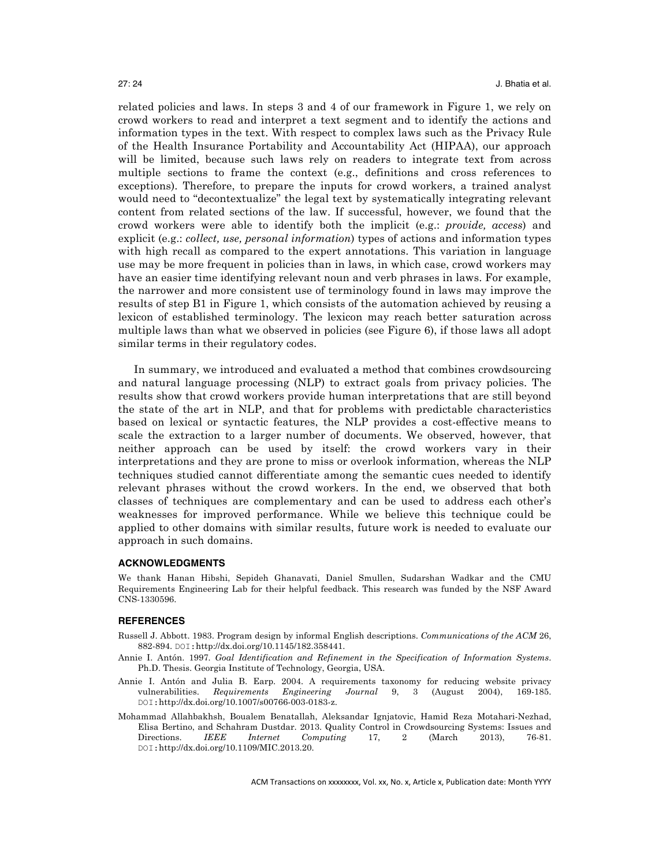related policies and laws. In steps 3 and 4 of our framework in Figure 1, we rely on crowd workers to read and interpret a text segment and to identify the actions and information types in the text. With respect to complex laws such as the Privacy Rule of the Health Insurance Portability and Accountability Act (HIPAA), our approach will be limited, because such laws rely on readers to integrate text from across multiple sections to frame the context (e.g., definitions and cross references to exceptions). Therefore, to prepare the inputs for crowd workers, a trained analyst would need to "decontextualize" the legal text by systematically integrating relevant content from related sections of the law. If successful, however, we found that the crowd workers were able to identify both the implicit (e.g.: *provide, access*) and explicit (e.g.: *collect, use, personal information*) types of actions and information types with high recall as compared to the expert annotations. This variation in language use may be more frequent in policies than in laws, in which case, crowd workers may have an easier time identifying relevant noun and verb phrases in laws. For example, the narrower and more consistent use of terminology found in laws may improve the results of step B1 in Figure 1, which consists of the automation achieved by reusing a lexicon of established terminology. The lexicon may reach better saturation across multiple laws than what we observed in policies (see Figure 6), if those laws all adopt similar terms in their regulatory codes.

In summary, we introduced and evaluated a method that combines crowdsourcing and natural language processing (NLP) to extract goals from privacy policies. The results show that crowd workers provide human interpretations that are still beyond the state of the art in NLP, and that for problems with predictable characteristics based on lexical or syntactic features, the NLP provides a cost-effective means to scale the extraction to a larger number of documents. We observed, however, that neither approach can be used by itself: the crowd workers vary in their interpretations and they are prone to miss or overlook information, whereas the NLP techniques studied cannot differentiate among the semantic cues needed to identify relevant phrases without the crowd workers. In the end, we observed that both classes of techniques are complementary and can be used to address each other's weaknesses for improved performance. While we believe this technique could be applied to other domains with similar results, future work is needed to evaluate our approach in such domains.

## **ACKNOWLEDGMENTS**

We thank Hanan Hibshi, Sepideh Ghanavati, Daniel Smullen, Sudarshan Wadkar and the CMU Requirements Engineering Lab for their helpful feedback. This research was funded by the NSF Award CNS-1330596.

# **REFERENCES**

- Russell J. Abbott. 1983. Program design by informal English descriptions. *Communications of the ACM* 26, 882-894. DOI:http://dx.doi.org/10.1145/182.358441.
- Annie I. Antón. 1997*. Goal Identification and Refinement in the Specification of Information Systems*. Ph.D. Thesis. Georgia Institute of Technology, Georgia, USA.
- Annie I. Antón and Julia B. Earp. 2004. A requirements taxonomy for reducing website privacy vulnerabilities. *Requirements Engineering Journal* 9, 3 (August 2004), 169-185. DOI:http://dx.doi.org/10.1007/s00766-003-0183-z.
- Mohammad Allahbakhsh, Boualem Benatallah, Aleksandar Ignjatovic, Hamid Reza Motahari-Nezhad, Elisa Bertino, and Schahram Dustdar. 2013. Quality Control in Crowdsourcing Systems: Issues and Directions. *IEEE Internet Computing* 17, 2 (March 2013), 76-81. DOI:http://dx.doi.org/10.1109/MIC.2013.20.

ACM Transactions on xxxxxxxx, Vol. xx, No. x, Article x, Publication date: Month YYYY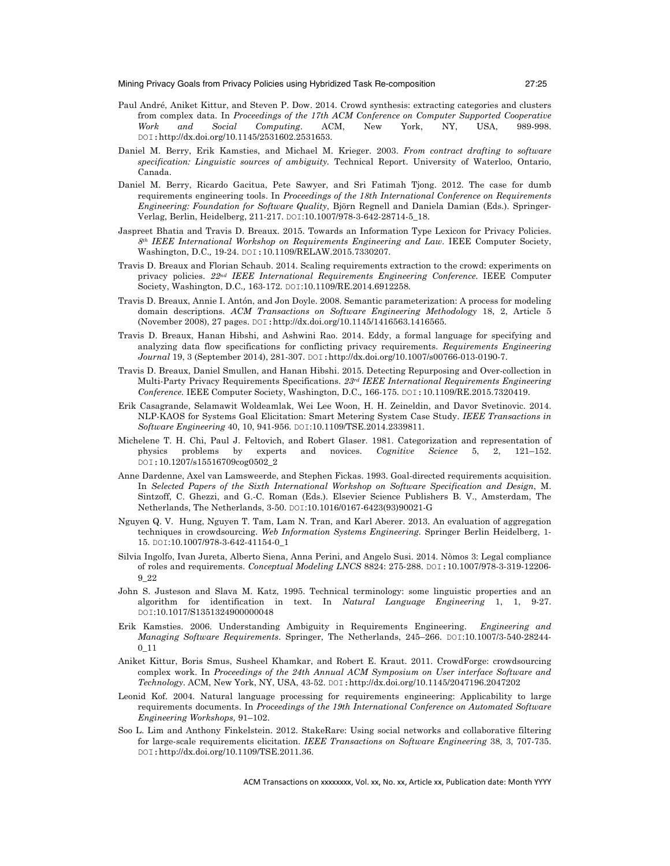- Paul André, Aniket Kittur, and Steven P. Dow. 2014. Crowd synthesis: extracting categories and clusters from complex data. In *Proceedings of the 17th ACM Conference on Computer Supported Cooperative Work and Social Computing*. ACM, New York, NY, USA, 989-998. DOI:http://dx.doi.org/10.1145/2531602.2531653.
- Daniel M. Berry, Erik Kamsties, and Michael M. Krieger. 2003. *From contract drafting to software specification: Linguistic sources of ambiguity.* Technical Report. University of Waterloo, Ontario, Canada.
- Daniel M. Berry, Ricardo Gacitua, Pete Sawyer, and Sri Fatimah Tjong. 2012. The case for dumb requirements engineering tools. In *Proceedings of the 18th International Conference on Requirements Engineering: Foundation for Software Quality*, Björn Regnell and Daniela Damian (Eds.). Springer-Verlag, Berlin, Heidelberg, 211-217. DOI:10.1007/978-3-642-28714-5\_18.
- Jaspreet Bhatia and Travis D. Breaux. 2015. Towards an Information Type Lexicon for Privacy Policies. *8th IEEE International Workshop on Requirements Engineering and Law*. IEEE Computer Society, Washington, D.C.*,* 19-24. DOI:10.1109/RELAW.2015.7330207.
- Travis D. Breaux and Florian Schaub. 2014. Scaling requirements extraction to the crowd: experiments on privacy policies. *22nd IEEE International Requirements Engineering Conference.* IEEE Computer Society, Washington, D.C*.,* 163-172*.* DOI:10.1109/RE.2014.6912258*.*
- Travis D. Breaux, Annie I. Antón, and Jon Doyle. 2008. Semantic parameterization: A process for modeling domain descriptions. *ACM Transactions on Software Engineering Methodology* 18, 2, Article 5 (November 2008), 27 pages. DOI:http://dx.doi.org/10.1145/1416563.1416565.
- Travis D. Breaux, Hanan Hibshi, and Ashwini Rao. 2014. Eddy, a formal language for specifying and analyzing data flow specifications for conflicting privacy requirements. *Requirements Engineering Journal* 19, 3 (September 2014), 281-307. DOI:http://dx.doi.org/10.1007/s00766-013-0190-7.
- Travis D. Breaux, Daniel Smullen, and Hanan Hibshi. 2015. Detecting Repurposing and Over-collection in Multi-Party Privacy Requirements Specifications. *23rd IEEE International Requirements Engineering Conference.* IEEE Computer Society, Washington, D.C.*,* 166-175. DOI:10.1109/RE.2015.7320419.
- Erik Casagrande, Selamawit Woldeamlak, Wei Lee Woon, H. H. Zeineldin, and Davor Svetinovic. 2014. NLP-KAOS for Systems Goal Elicitation: Smart Metering System Case Study. *IEEE Transactions in Software Engineering* 40, 10, 941-956. DOI:10.1109/TSE.2014.2339811.
- Michelene T. H. Chi, Paul J. Feltovich, and Robert Glaser. 1981. Categorization and representation of physics problems by experts and novices. *Cognitive Science* 5, 2, 121–152. DOI:10.1207/s15516709cog0502\_2
- Anne Dardenne, Axel van Lamsweerde, and Stephen Fickas. 1993. Goal-directed requirements acquisition. In *Selected Papers of the Sixth International Workshop on Software Specification and Design*, M. Sintzoff, C. Ghezzi, and G.-C. Roman (Eds.). Elsevier Science Publishers B. V., Amsterdam, The Netherlands, The Netherlands, 3-50. DOI:10.1016/0167-6423(93)90021-G
- Nguyen Q. V. Hung, Nguyen T. Tam, Lam N. Tran, and Karl Aberer. 2013. An evaluation of aggregation techniques in crowdsourcing. *Web Information Systems Engineering.* Springer Berlin Heidelberg, 1- 15. DOI:10.1007/978-3-642-41154-0\_1
- Silvia Ingolfo, Ivan Jureta, Alberto Siena, Anna Perini, and Angelo Susi. 2014. Nòmos 3: Legal compliance of roles and requirements. *Conceptual Modeling LNCS* 8824: 275-288. DOI:10.1007/978-3-319-12206- 9\_22
- John S. Justeson and Slava M. Katz, 1995. Technical terminology: some linguistic properties and an algorithm for identification in text. In *Natural Language Engineering* 1, 1, 9-27. DOI:10.1017/S1351324900000048
- Erik Kamsties. 2006. Understanding Ambiguity in Requirements Engineering. *Engineering and Managing Software Requirements*. Springer, The Netherlands, 245–266. DOI:10.1007/3-540-28244- 0\_11
- Aniket Kittur, Boris Smus, Susheel Khamkar, and Robert E. Kraut. 2011. CrowdForge: crowdsourcing complex work. In *Proceedings of the 24th Annual ACM Symposium on User interface Software and Technology*. ACM, New York, NY, USA, 43-52. DOI:http://dx.doi.org/10.1145/2047196.2047202
- Leonid Kof. 2004. Natural language processing for requirements engineering: Applicability to large requirements documents. In *Proceedings of the 19th International Conference on Automated Software Engineering Workshops,* 91–102.
- Soo L. Lim and Anthony Finkelstein. 2012. StakeRare: Using social networks and collaborative filtering for large-scale requirements elicitation. *IEEE Transactions on Software Engineering* 38, 3, 707-735. DOI:http://dx.doi.org/10.1109/TSE.2011.36.

ACM Transactions on xxxxxxxx, Vol. xx, No. xx, Article xx, Publication date: Month YYYY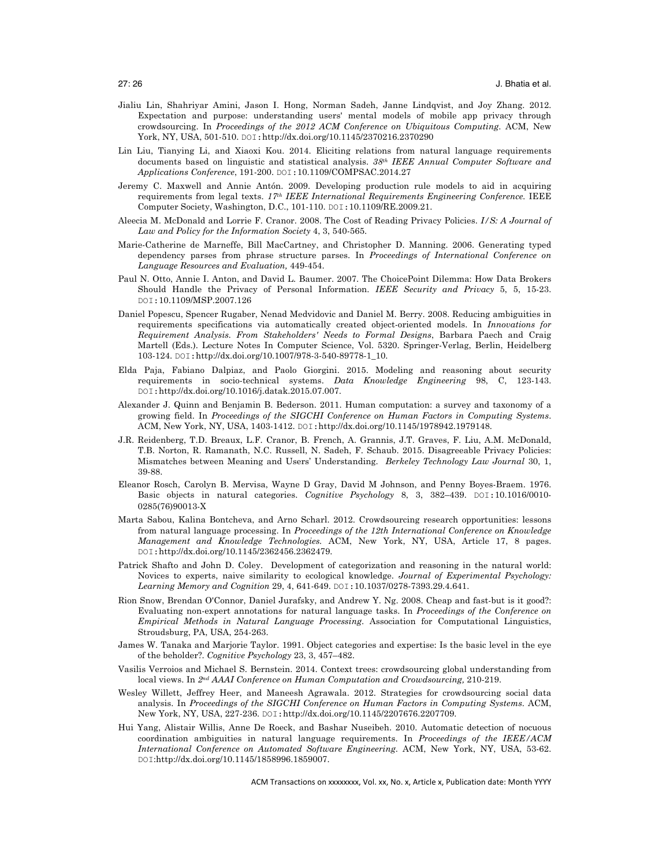- Jialiu Lin, Shahriyar Amini, Jason I. Hong, Norman Sadeh, Janne Lindqvist, and Joy Zhang. 2012. Expectation and purpose: understanding users' mental models of mobile app privacy through crowdsourcing. In *Proceedings of the 2012 ACM Conference on Ubiquitous Computing*. ACM, New York, NY, USA, 501-510. DOI:http://dx.doi.org/10.1145/2370216.2370290
- Lin Liu, Tianying Li, and Xiaoxi Kou. 2014. Eliciting relations from natural language requirements documents based on linguistic and statistical analysis. *38th IEEE Annual Computer Software and Applications Conference*, 191-200. DOI:10.1109/COMPSAC.2014.27
- Jeremy C. Maxwell and Annie Antón. 2009. Developing production rule models to aid in acquiring requirements from legal texts. *17th IEEE International Requirements Engineering Conference.* IEEE Computer Society, Washington, D.C., 101-110. DOI:10.1109/RE.2009.21.
- Aleecia M. McDonald and Lorrie F. Cranor. 2008. The Cost of Reading Privacy Policies. *I/S: A Journal of Law and Policy for the Information Society* 4, 3, 540-565.
- Marie-Catherine de Marneffe, Bill MacCartney, and Christopher D. Manning. 2006. Generating typed dependency parses from phrase structure parses. In *Proceedings of International Conference on Language Resources and Evaluation,* 449-454.
- Paul N. Otto, Annie I. Anton, and David L. Baumer. 2007. The ChoicePoint Dilemma: How Data Brokers Should Handle the Privacy of Personal Information. *IEEE Security and Privacy* 5, 5, 15-23. DOI:10.1109/MSP.2007.126
- Daniel Popescu, Spencer Rugaber, Nenad Medvidovic and Daniel M. Berry. 2008. Reducing ambiguities in requirements specifications via automatically created object-oriented models. In *Innovations for Requirement Analysis. From Stakeholders' Needs to Formal Designs*, Barbara Paech and Craig Martell (Eds.). Lecture Notes In Computer Science, Vol. 5320. Springer-Verlag, Berlin, Heidelberg 103-124. DOI:http://dx.doi.org/10.1007/978-3-540-89778-1\_10.
- Elda Paja, Fabiano Dalpiaz, and Paolo Giorgini. 2015. Modeling and reasoning about security requirements in socio-technical systems. *Data Knowledge Engineering* 98, C, 123-143. DOI:http://dx.doi.org/10.1016/j.datak.2015.07.007.
- Alexander J. Quinn and Benjamin B. Bederson. 2011. Human computation: a survey and taxonomy of a growing field. In *Proceedings of the SIGCHI Conference on Human Factors in Computing Systems*. ACM, New York, NY, USA, 1403-1412. DOI:http://dx.doi.org/10.1145/1978942.1979148.
- J.R. Reidenberg, T.D. Breaux, L.F. Cranor, B. French, A. Grannis, J.T. Graves, F. Liu, A.M. McDonald, T.B. Norton, R. Ramanath, N.C. Russell, N. Sadeh, F. Schaub. 2015. Disagreeable Privacy Policies: Mismatches between Meaning and Users' Understanding. *Berkeley Technology Law Journal* 30, 1, 39-88.
- Eleanor Rosch, Carolyn B. Mervisa, Wayne D Gray, David M Johnson, and Penny Boyes-Braem. 1976. Basic objects in natural categories. *Cognitive Psychology* 8, 3, 382–439. DOI:10.1016/0010- 0285(76)90013-X
- Marta Sabou, Kalina Bontcheva, and Arno Scharl. 2012. Crowdsourcing research opportunities: lessons from natural language processing. In *Proceedings of the 12th International Conference on Knowledge Management and Knowledge Technologies.* ACM, New York, NY, USA, Article 17, 8 pages. DOI:http://dx.doi.org/10.1145/2362456.2362479.
- Patrick Shafto and John D. Coley. Development of categorization and reasoning in the natural world: Novices to experts, naive similarity to ecological knowledge. *Journal of Experimental Psychology: Learning Memory and Cognition* 29, 4, 641-649. DOI:10.1037/0278-7393.29.4.641.
- Rion Snow, Brendan O'Connor, Daniel Jurafsky, and Andrew Y. Ng. 2008. Cheap and fast-but is it good?: Evaluating non-expert annotations for natural language tasks. In *Proceedings of the Conference on Empirical Methods in Natural Language Processing*. Association for Computational Linguistics, Stroudsburg, PA, USA, 254-263.
- James W. Tanaka and Marjorie Taylor. 1991. Object categories and expertise: Is the basic level in the eye of the beholder?. *Cognitive Psychology* 23, 3, 457–482.
- Vasilis Verroios and Michael S. Bernstein. 2014. Context trees: crowdsourcing global understanding from local views. In *2nd AAAI Conference on Human Computation and Crowdsourcing,* 210-219.
- Wesley Willett, Jeffrey Heer, and Maneesh Agrawala. 2012. Strategies for crowdsourcing social data analysis. In *Proceedings of the SIGCHI Conference on Human Factors in Computing Systems*. ACM, New York, NY, USA, 227-236. DOI:http://dx.doi.org/10.1145/2207676.2207709.
- Hui Yang, Alistair Willis, Anne De Roeck, and Bashar Nuseibeh. 2010. Automatic detection of nocuous coordination ambiguities in natural language requirements. In *Proceedings of the IEEE/ACM International Conference on Automated Software Engineering*. ACM, New York, NY, USA, 53-62. DOI:http://dx.doi.org/10.1145/1858996.1859007.

ACM Transactions on xxxxxxxx, Vol. xx, No. x, Article x, Publication date: Month YYYY